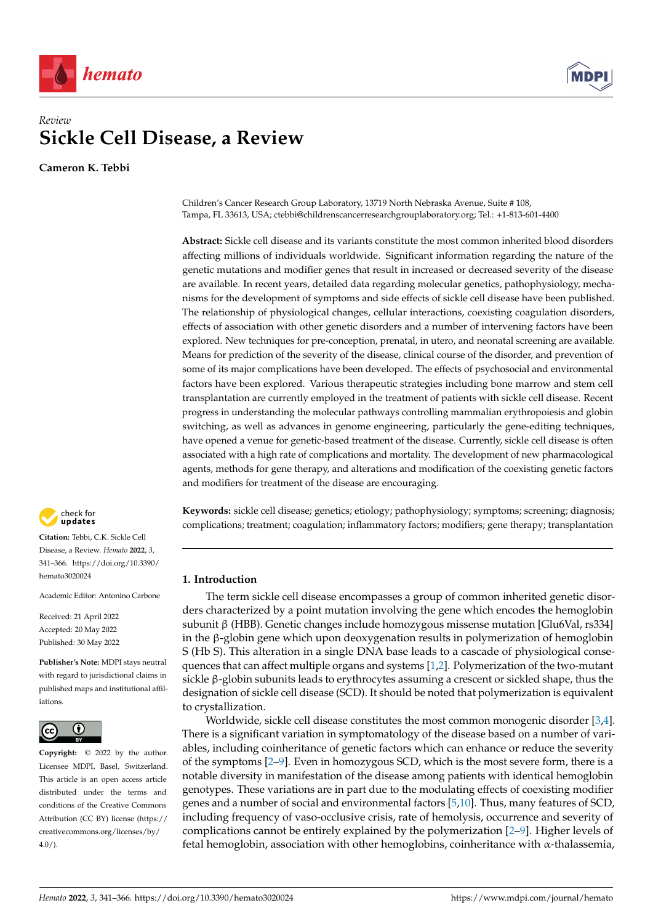



# *Review* **Sickle Cell Disease, a Review**

**Cameron K. Tebbi**

Children's Cancer Research Group Laboratory, 13719 North Nebraska Avenue, Suite # 108, Tampa, FL 33613, USA; ctebbi@childrenscancerresearchgrouplaboratory.org; Tel.: +1-813-601-4400

**Abstract:** Sickle cell disease and its variants constitute the most common inherited blood disorders affecting millions of individuals worldwide. Significant information regarding the nature of the genetic mutations and modifier genes that result in increased or decreased severity of the disease are available. In recent years, detailed data regarding molecular genetics, pathophysiology, mechanisms for the development of symptoms and side effects of sickle cell disease have been published. The relationship of physiological changes, cellular interactions, coexisting coagulation disorders, effects of association with other genetic disorders and a number of intervening factors have been explored. New techniques for pre-conception, prenatal, in utero, and neonatal screening are available. Means for prediction of the severity of the disease, clinical course of the disorder, and prevention of some of its major complications have been developed. The effects of psychosocial and environmental factors have been explored. Various therapeutic strategies including bone marrow and stem cell transplantation are currently employed in the treatment of patients with sickle cell disease. Recent progress in understanding the molecular pathways controlling mammalian erythropoiesis and globin switching, as well as advances in genome engineering, particularly the gene-editing techniques, have opened a venue for genetic-based treatment of the disease. Currently, sickle cell disease is often associated with a high rate of complications and mortality. The development of new pharmacological agents, methods for gene therapy, and alterations and modification of the coexisting genetic factors and modifiers for treatment of the disease are encouraging.



**Citation:** Tebbi, C.K. Sickle Cell Disease, a Review. *Hemato* **2022**, *3*, 341–366. [https://doi.org/10.3390/](https://doi.org/10.3390/hemato3020024) [hemato3020024](https://doi.org/10.3390/hemato3020024)

Academic Editor: Antonino Carbone

Received: 21 April 2022 Accepted: 20 May 2022 Published: 30 May 2022

**Publisher's Note:** MDPI stays neutral with regard to jurisdictional claims in published maps and institutional affiliations.



**Copyright:** © 2022 by the author. Licensee MDPI, Basel, Switzerland. This article is an open access article distributed under the terms and conditions of the Creative Commons Attribution (CC BY) license [\(https://](https://creativecommons.org/licenses/by/4.0/) [creativecommons.org/licenses/by/](https://creativecommons.org/licenses/by/4.0/)  $4.0/$ ).

**Keywords:** sickle cell disease; genetics; etiology; pathophysiology; symptoms; screening; diagnosis; complications; treatment; coagulation; inflammatory factors; modifiers; gene therapy; transplantation

# **1. Introduction**

The term sickle cell disease encompasses a group of common inherited genetic disorders characterized by a point mutation involving the gene which encodes the hemoglobin subunit β (HBB). Genetic changes include homozygous missense mutation [Glu6Val, rs334] in the β-globin gene which upon deoxygenation results in polymerization of hemoglobin S (Hb S). This alteration in a single DNA base leads to a cascade of physiological consequences that can affect multiple organs and systems [\[1](#page-17-0)[,2\]](#page-17-1). Polymerization of the two-mutant sickle β-globin subunits leads to erythrocytes assuming a crescent or sickled shape, thus the designation of sickle cell disease (SCD). It should be noted that polymerization is equivalent to crystallization.

Worldwide, sickle cell disease constitutes the most common monogenic disorder [\[3](#page-17-2)[,4\]](#page-17-3). There is a significant variation in symptomatology of the disease based on a number of variables, including coinheritance of genetic factors which can enhance or reduce the severity of the symptoms [\[2](#page-17-1)[–9\]](#page-17-4). Even in homozygous SCD, which is the most severe form, there is a notable diversity in manifestation of the disease among patients with identical hemoglobin genotypes. These variations are in part due to the modulating effects of coexisting modifier genes and a number of social and environmental factors [\[5,](#page-17-5)[10\]](#page-17-6). Thus, many features of SCD, including frequency of vaso-occlusive crisis, rate of hemolysis, occurrence and severity of complications cannot be entirely explained by the polymerization [\[2](#page-17-1)[–9\]](#page-17-4). Higher levels of fetal hemoglobin, association with other hemoglobins, coinheritance with α-thalassemia,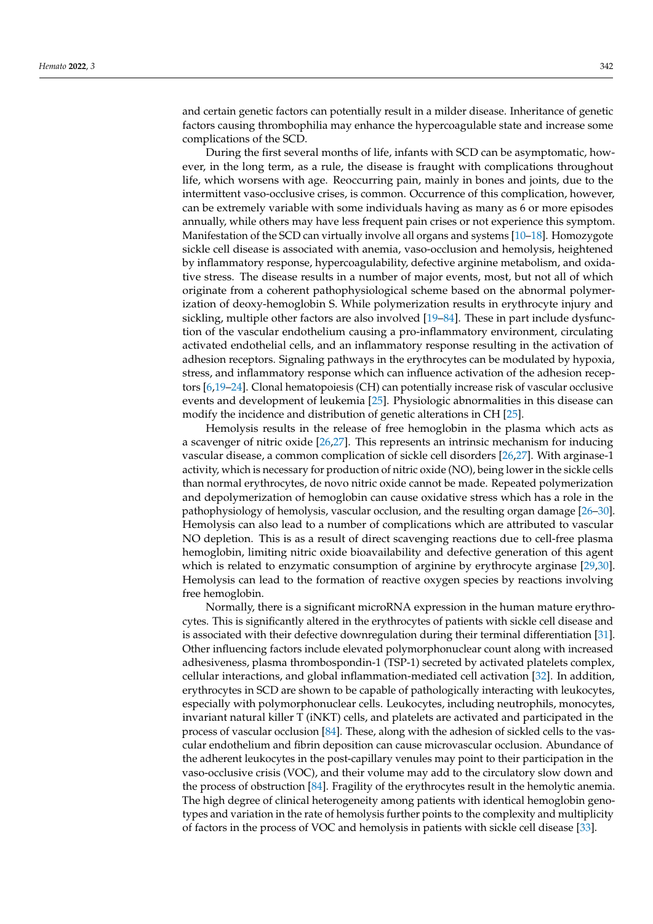and certain genetic factors can potentially result in a milder disease. Inheritance of genetic factors causing thrombophilia may enhance the hypercoagulable state and increase some complications of the SCD.

During the first several months of life, infants with SCD can be asymptomatic, however, in the long term, as a rule, the disease is fraught with complications throughout life, which worsens with age. Reoccurring pain, mainly in bones and joints, due to the intermittent vaso-occlusive crises, is common. Occurrence of this complication, however, can be extremely variable with some individuals having as many as 6 or more episodes annually, while others may have less frequent pain crises or not experience this symptom. Manifestation of the SCD can virtually involve all organs and systems [\[10](#page-17-6)[–18\]](#page-17-7). Homozygote sickle cell disease is associated with anemia, vaso-occlusion and hemolysis, heightened by inflammatory response, hypercoagulability, defective arginine metabolism, and oxidative stress. The disease results in a number of major events, most, but not all of which originate from a coherent pathophysiological scheme based on the abnormal polymerization of deoxy-hemoglobin S. While polymerization results in erythrocyte injury and sickling, multiple other factors are also involved [\[19](#page-17-8)[–84\]](#page-20-0). These in part include dysfunction of the vascular endothelium causing a pro-inflammatory environment, circulating activated endothelial cells, and an inflammatory response resulting in the activation of adhesion receptors. Signaling pathways in the erythrocytes can be modulated by hypoxia, stress, and inflammatory response which can influence activation of the adhesion receptors [\[6](#page-17-9)[,19–](#page-17-8)[24\]](#page-17-10). Clonal hematopoiesis (CH) can potentially increase risk of vascular occlusive events and development of leukemia [\[25\]](#page-17-11). Physiologic abnormalities in this disease can modify the incidence and distribution of genetic alterations in CH [\[25\]](#page-17-11).

Hemolysis results in the release of free hemoglobin in the plasma which acts as a scavenger of nitric oxide [\[26](#page-17-12)[,27\]](#page-17-13). This represents an intrinsic mechanism for inducing vascular disease, a common complication of sickle cell disorders [\[26,](#page-17-12)[27\]](#page-17-13). With arginase-1 activity, which is necessary for production of nitric oxide (NO), being lower in the sickle cells than normal erythrocytes, de novo nitric oxide cannot be made. Repeated polymerization and depolymerization of hemoglobin can cause oxidative stress which has a role in the pathophysiology of hemolysis, vascular occlusion, and the resulting organ damage [\[26](#page-17-12)[–30\]](#page-18-0). Hemolysis can also lead to a number of complications which are attributed to vascular NO depletion. This is as a result of direct scavenging reactions due to cell-free plasma hemoglobin, limiting nitric oxide bioavailability and defective generation of this agent which is related to enzymatic consumption of arginine by erythrocyte arginase [\[29,](#page-17-14)[30\]](#page-18-0). Hemolysis can lead to the formation of reactive oxygen species by reactions involving free hemoglobin.

Normally, there is a significant microRNA expression in the human mature erythrocytes. This is significantly altered in the erythrocytes of patients with sickle cell disease and is associated with their defective downregulation during their terminal differentiation [\[31\]](#page-18-1). Other influencing factors include elevated polymorphonuclear count along with increased adhesiveness, plasma thrombospondin-1 (TSP-1) secreted by activated platelets complex, cellular interactions, and global inflammation-mediated cell activation [\[32\]](#page-18-2). In addition, erythrocytes in SCD are shown to be capable of pathologically interacting with leukocytes, especially with polymorphonuclear cells. Leukocytes, including neutrophils, monocytes, invariant natural killer T (iNKT) cells, and platelets are activated and participated in the process of vascular occlusion [\[84\]](#page-20-0). These, along with the adhesion of sickled cells to the vascular endothelium and fibrin deposition can cause microvascular occlusion. Abundance of the adherent leukocytes in the post-capillary venules may point to their participation in the vaso-occlusive crisis (VOC), and their volume may add to the circulatory slow down and the process of obstruction [\[84\]](#page-20-0). Fragility of the erythrocytes result in the hemolytic anemia. The high degree of clinical heterogeneity among patients with identical hemoglobin genotypes and variation in the rate of hemolysis further points to the complexity and multiplicity of factors in the process of VOC and hemolysis in patients with sickle cell disease [\[33\]](#page-18-3).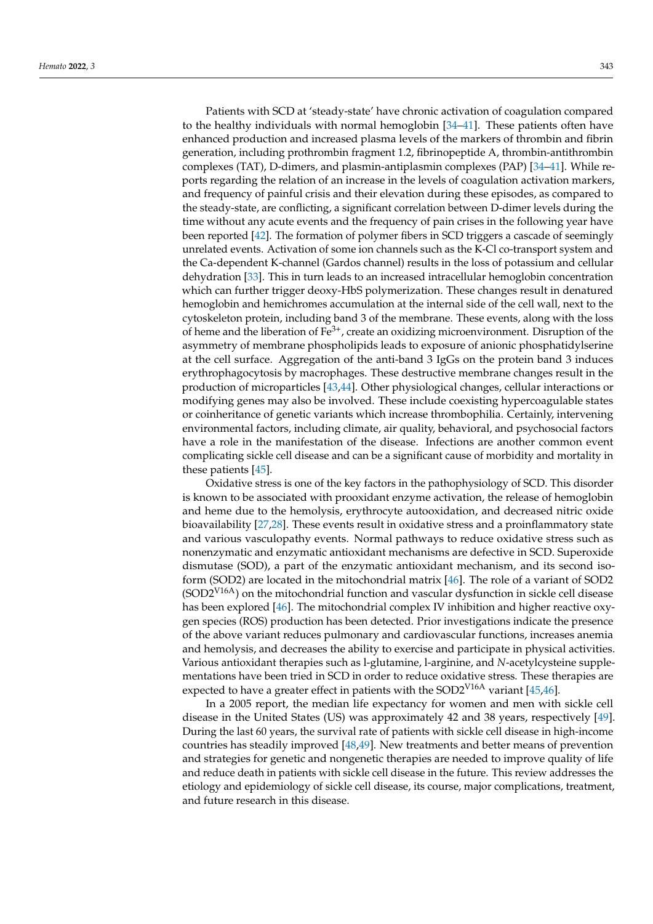Patients with SCD at 'steady-state' have chronic activation of coagulation compared to the healthy individuals with normal hemoglobin [\[34](#page-18-4)[–41\]](#page-18-5). These patients often have enhanced production and increased plasma levels of the markers of thrombin and fibrin generation, including prothrombin fragment 1.2, fibrinopeptide A, thrombin-antithrombin complexes (TAT), D-dimers, and plasmin-antiplasmin complexes (PAP) [\[34](#page-18-4)[–41\]](#page-18-5). While reports regarding the relation of an increase in the levels of coagulation activation markers, and frequency of painful crisis and their elevation during these episodes, as compared to the steady-state, are conflicting, a significant correlation between D-dimer levels during the time without any acute events and the frequency of pain crises in the following year have been reported [\[42\]](#page-18-6). The formation of polymer fibers in SCD triggers a cascade of seemingly unrelated events. Activation of some ion channels such as the K-Cl co-transport system and the Ca-dependent K-channel (Gardos channel) results in the loss of potassium and cellular dehydration [\[33\]](#page-18-3). This in turn leads to an increased intracellular hemoglobin concentration which can further trigger deoxy-HbS polymerization. These changes result in denatured hemoglobin and hemichromes accumulation at the internal side of the cell wall, next to the cytoskeleton protein, including band 3 of the membrane. These events, along with the loss of heme and the liberation of  $Fe^{3+}$ , create an oxidizing microenvironment. Disruption of the asymmetry of membrane phospholipids leads to exposure of anionic phosphatidylserine at the cell surface. Aggregation of the anti-band 3 IgGs on the protein band 3 induces erythrophagocytosis by macrophages. These destructive membrane changes result in the production of microparticles [\[43,](#page-18-7)[44\]](#page-18-8). Other physiological changes, cellular interactions or modifying genes may also be involved. These include coexisting hypercoagulable states or coinheritance of genetic variants which increase thrombophilia. Certainly, intervening environmental factors, including climate, air quality, behavioral, and psychosocial factors have a role in the manifestation of the disease. Infections are another common event complicating sickle cell disease and can be a significant cause of morbidity and mortality in these patients [\[45\]](#page-18-9).

Oxidative stress is one of the key factors in the pathophysiology of SCD. This disorder is known to be associated with prooxidant enzyme activation, the release of hemoglobin and heme due to the hemolysis, erythrocyte autooxidation, and decreased nitric oxide bioavailability [\[27,](#page-17-13)[28\]](#page-17-15). These events result in oxidative stress and a proinflammatory state and various vasculopathy events. Normal pathways to reduce oxidative stress such as nonenzymatic and enzymatic antioxidant mechanisms are defective in SCD. Superoxide dismutase (SOD), a part of the enzymatic antioxidant mechanism, and its second isoform (SOD2) are located in the mitochondrial matrix [\[46\]](#page-18-10). The role of a variant of SOD2  $(SOD2<sup>V16A</sup>)$  on the mitochondrial function and vascular dysfunction in sickle cell disease has been explored [\[46\]](#page-18-10). The mitochondrial complex IV inhibition and higher reactive oxygen species (ROS) production has been detected. Prior investigations indicate the presence of the above variant reduces pulmonary and cardiovascular functions, increases anemia and hemolysis, and decreases the ability to exercise and participate in physical activities. Various antioxidant therapies such as l-glutamine, l-arginine, and *N*-acetylcysteine supplementations have been tried in SCD in order to reduce oxidative stress. These therapies are expected to have a greater effect in patients with the SOD2 $V^{16A}$  variant [\[45](#page-18-9)[,46\]](#page-18-10).

In a 2005 report, the median life expectancy for women and men with sickle cell disease in the United States (US) was approximately 42 and 38 years, respectively [\[49\]](#page-18-11). During the last 60 years, the survival rate of patients with sickle cell disease in high-income countries has steadily improved [\[48](#page-18-12)[,49\]](#page-18-11). New treatments and better means of prevention and strategies for genetic and nongenetic therapies are needed to improve quality of life and reduce death in patients with sickle cell disease in the future. This review addresses the etiology and epidemiology of sickle cell disease, its course, major complications, treatment, and future research in this disease.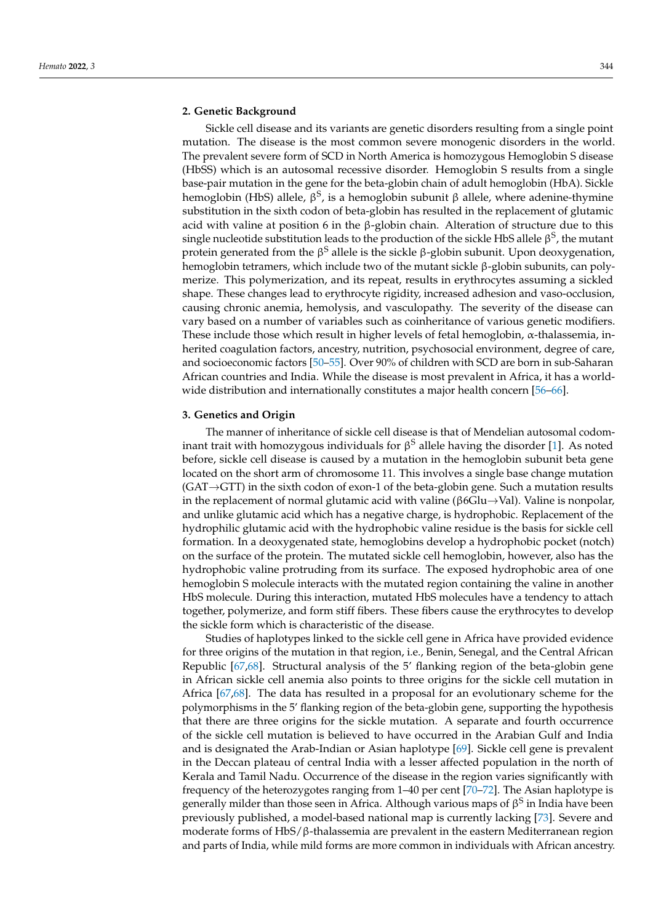## **2. Genetic Background**

Sickle cell disease and its variants are genetic disorders resulting from a single point mutation. The disease is the most common severe monogenic disorders in the world. The prevalent severe form of SCD in North America is homozygous Hemoglobin S disease (HbSS) which is an autosomal recessive disorder. Hemoglobin S results from a single base-pair mutation in the gene for the beta-globin chain of adult hemoglobin (HbA). Sickle hemoglobin (HbS) allele, β<sup>S</sup>, is a hemoglobin subunit β allele, where adenine-thymine substitution in the sixth codon of beta-globin has resulted in the replacement of glutamic acid with valine at position 6 in the β-globin chain. Alteration of structure due to this single nucleotide substitution leads to the production of the sickle HbS allele  $\beta^{\text{S}}$ , the mutant protein generated from the β<sup>S</sup> allele is the sickle β-globin subunit. Upon deoxygenation, hemoglobin tetramers, which include two of the mutant sickle β-globin subunits, can polymerize. This polymerization, and its repeat, results in erythrocytes assuming a sickled shape. These changes lead to erythrocyte rigidity, increased adhesion and vaso-occlusion, causing chronic anemia, hemolysis, and vasculopathy. The severity of the disease can vary based on a number of variables such as coinheritance of various genetic modifiers. These include those which result in higher levels of fetal hemoglobin,  $\alpha$ -thalassemia, inherited coagulation factors, ancestry, nutrition, psychosocial environment, degree of care, and socioeconomic factors [\[50](#page-18-13)[–55\]](#page-18-14). Over 90% of children with SCD are born in sub-Saharan African countries and India. While the disease is most prevalent in Africa, it has a worldwide distribution and internationally constitutes a major health concern [\[56](#page-18-15)[–66\]](#page-19-0).

### **3. Genetics and Origin**

The manner of inheritance of sickle cell disease is that of Mendelian autosomal codom-inant trait with homozygous individuals for β<sup>S</sup> allele having the disorder [\[1\]](#page-17-0). As noted before, sickle cell disease is caused by a mutation in the hemoglobin subunit beta gene located on the short arm of chromosome 11. This involves a single base change mutation  $(GAT \rightarrow GTT)$  in the sixth codon of exon-1 of the beta-globin gene. Such a mutation results in the replacement of normal glutamic acid with valine ( $\beta$ 6Glu $\rightarrow$ Val). Valine is nonpolar, and unlike glutamic acid which has a negative charge, is hydrophobic. Replacement of the hydrophilic glutamic acid with the hydrophobic valine residue is the basis for sickle cell formation. In a deoxygenated state, hemoglobins develop a hydrophobic pocket (notch) on the surface of the protein. The mutated sickle cell hemoglobin, however, also has the hydrophobic valine protruding from its surface. The exposed hydrophobic area of one hemoglobin S molecule interacts with the mutated region containing the valine in another HbS molecule. During this interaction, mutated HbS molecules have a tendency to attach together, polymerize, and form stiff fibers. These fibers cause the erythrocytes to develop the sickle form which is characteristic of the disease.

Studies of haplotypes linked to the sickle cell gene in Africa have provided evidence for three origins of the mutation in that region, i.e., Benin, Senegal, and the Central African Republic [\[67](#page-19-1)[,68\]](#page-19-2). Structural analysis of the 5' flanking region of the beta-globin gene in African sickle cell anemia also points to three origins for the sickle cell mutation in Africa [\[67,](#page-19-1)[68\]](#page-19-2). The data has resulted in a proposal for an evolutionary scheme for the polymorphisms in the 5' flanking region of the beta-globin gene, supporting the hypothesis that there are three origins for the sickle mutation. A separate and fourth occurrence of the sickle cell mutation is believed to have occurred in the Arabian Gulf and India and is designated the Arab-Indian or Asian haplotype [\[69\]](#page-19-3). Sickle cell gene is prevalent in the Deccan plateau of central India with a lesser affected population in the north of Kerala and Tamil Nadu. Occurrence of the disease in the region varies significantly with frequency of the heterozygotes ranging from 1–40 per cent [\[70](#page-19-4)[–72\]](#page-19-5). The Asian haplotype is generally milder than those seen in Africa. Although various maps of  $\beta^{\mathrm{S}}$  in India have been previously published, a model-based national map is currently lacking [\[73\]](#page-19-6). Severe and moderate forms of HbS/β-thalassemia are prevalent in the eastern Mediterranean region and parts of India, while mild forms are more common in individuals with African ancestry.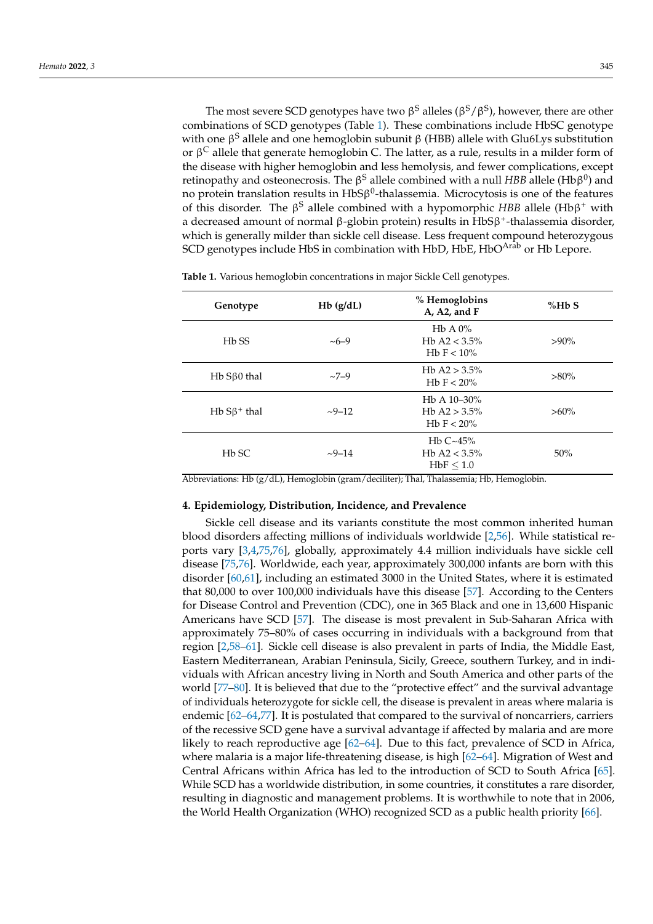The most severe SCD genotypes have two  $\beta^S$  alleles ( $\beta^S/\beta^S$ ), however, there are other combinations of SCD genotypes (Table [1\)](#page-4-0). These combinations include HbSC genotype with one β<sup>S</sup> allele and one hemoglobin subunit β (HBB) allele with Glu6Lys substitution or β<sup>C</sup> allele that generate hemoglobin C. The latter, as a rule, results in a milder form of the disease with higher hemoglobin and less hemolysis, and fewer complications, except retinopathy and osteonecrosis. The β $^{\text{S}}$  allele combined with a null HBB allele (Hbβ $^{\text{0}}$ ) and no protein translation results in  $HbS\beta^0$ -thalassemia. Microcytosis is one of the features of this disorder. The β <sup>S</sup> allele combined with a hypomorphic *HBB* allele (Hbβ <sup>+</sup> with a decreased amount of normal β-globin protein) results in HbSβ<sup>+</sup>-thalassemia disorder, which is generally milder than sickle cell disease. Less frequent compound heterozygous SCD genotypes include HbS in combination with HbD, HbE, HbO<sup>Arab</sup> or Hb Lepore.

| Genotype           | $Hb$ ( $g/dL$ ) | % Hemoglobins<br>A, A2, and $F$                                                                    | %HbS    |
|--------------------|-----------------|----------------------------------------------------------------------------------------------------|---------|
| H <sub>b</sub> SS  | $~10-9$         | $HbA0\%$<br>Hb A2 < $3.5\%$<br>H <sub>b</sub> F $< 10\%$                                           | $>90\%$ |
| $Hb S\beta0$ thal  | $~27 - 9$       | Hb A2 $> 3.5\%$<br>H <sub>b</sub> F $< 20\%$                                                       | $>80\%$ |
| $Hb S\beta^+$ thal | $-9-12$         | H <sub>b</sub> A $10-30\%$<br>H <sub>b</sub> A <sub>2</sub> $> 3.5\%$<br>H <sub>b</sub> F $< 20\%$ | $>60\%$ |
| H <sub>b</sub> SC  | $-9 - 14$       | H <sub>b</sub> $C~45%$<br>H <sub>b</sub> A <sub>2</sub> < $3.5\%$<br>$HbF \leq 1.0$                | 50%     |

<span id="page-4-0"></span>**Table 1.** Various hemoglobin concentrations in major Sickle Cell genotypes.

Abbreviations: Hb (g/dL), Hemoglobin (gram/deciliter); Thal, Thalassemia; Hb, Hemoglobin.

### **4. Epidemiology, Distribution, Incidence, and Prevalence**

Sickle cell disease and its variants constitute the most common inherited human blood disorders affecting millions of individuals worldwide [\[2](#page-17-1)[,56\]](#page-18-15). While statistical reports vary [\[3,](#page-17-2)[4,](#page-17-3)[75,](#page-19-7)[76\]](#page-19-8), globally, approximately 4.4 million individuals have sickle cell disease [\[75,](#page-19-7)[76\]](#page-19-8). Worldwide, each year, approximately 300,000 infants are born with this disorder [\[60](#page-19-9)[,61\]](#page-19-10), including an estimated 3000 in the United States, where it is estimated that 80,000 to over 100,000 individuals have this disease [\[57\]](#page-18-16). According to the Centers for Disease Control and Prevention (CDC), one in 365 Black and one in 13,600 Hispanic Americans have SCD [\[57\]](#page-18-16). The disease is most prevalent in Sub-Saharan Africa with approximately 75–80% of cases occurring in individuals with a background from that region [\[2,](#page-17-1)[58](#page-19-11)[–61\]](#page-19-10). Sickle cell disease is also prevalent in parts of India, the Middle East, Eastern Mediterranean, Arabian Peninsula, Sicily, Greece, southern Turkey, and in individuals with African ancestry living in North and South America and other parts of the world [\[77](#page-19-12)[–80\]](#page-19-13). It is believed that due to the "protective effect" and the survival advantage of individuals heterozygote for sickle cell, the disease is prevalent in areas where malaria is endemic [\[62](#page-19-14)[–64,](#page-19-15)[77\]](#page-19-12). It is postulated that compared to the survival of noncarriers, carriers of the recessive SCD gene have a survival advantage if affected by malaria and are more likely to reach reproductive age [\[62–](#page-19-14)[64\]](#page-19-15). Due to this fact, prevalence of SCD in Africa, where malaria is a major life-threatening disease, is high [\[62–](#page-19-14)[64\]](#page-19-15). Migration of West and Central Africans within Africa has led to the introduction of SCD to South Africa [\[65\]](#page-19-16). While SCD has a worldwide distribution, in some countries, it constitutes a rare disorder, resulting in diagnostic and management problems. It is worthwhile to note that in 2006, the World Health Organization (WHO) recognized SCD as a public health priority [\[66\]](#page-19-0).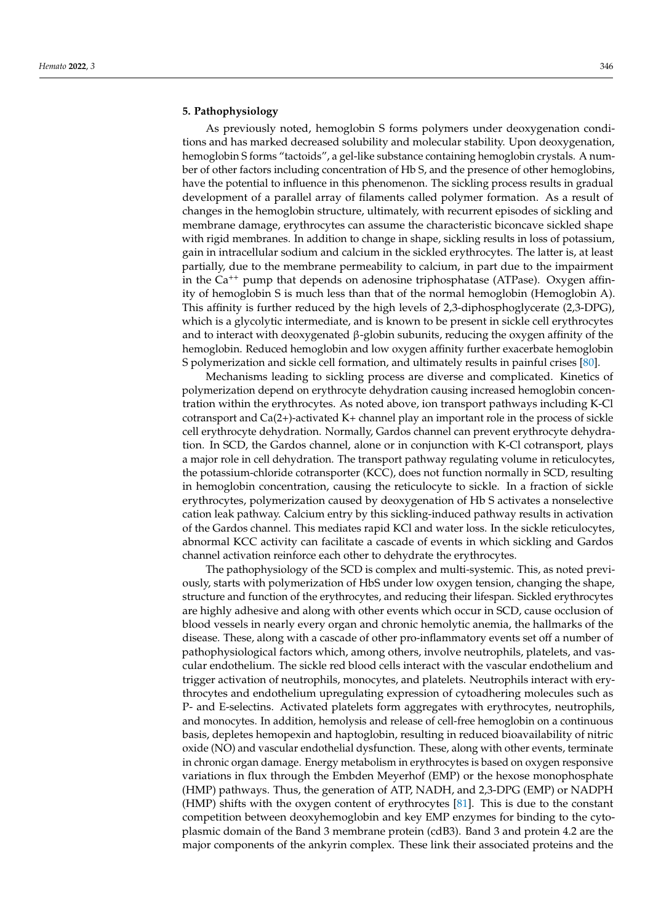# **5. Pathophysiology**

As previously noted, hemoglobin S forms polymers under deoxygenation conditions and has marked decreased solubility and molecular stability. Upon deoxygenation, hemoglobin S forms "tactoids", a gel-like substance containing hemoglobin crystals. A number of other factors including concentration of Hb S, and the presence of other hemoglobins, have the potential to influence in this phenomenon. The sickling process results in gradual development of a parallel array of filaments called polymer formation. As a result of changes in the hemoglobin structure, ultimately, with recurrent episodes of sickling and membrane damage, erythrocytes can assume the characteristic biconcave sickled shape with rigid membranes. In addition to change in shape, sickling results in loss of potassium, gain in intracellular sodium and calcium in the sickled erythrocytes. The latter is, at least partially, due to the membrane permeability to calcium, in part due to the impairment in the Ca<sup>++</sup> pump that depends on adenosine triphosphatase (ATPase). Oxygen affinity of hemoglobin S is much less than that of the normal hemoglobin (Hemoglobin A). This affinity is further reduced by the high levels of 2,3-diphosphoglycerate (2,3-DPG), which is a glycolytic intermediate, and is known to be present in sickle cell erythrocytes and to interact with deoxygenated  $\beta$ -globin subunits, reducing the oxygen affinity of the hemoglobin. Reduced hemoglobin and low oxygen affinity further exacerbate hemoglobin S polymerization and sickle cell formation, and ultimately results in painful crises [\[80\]](#page-19-13).

Mechanisms leading to sickling process are diverse and complicated. Kinetics of polymerization depend on erythrocyte dehydration causing increased hemoglobin concentration within the erythrocytes. As noted above, ion transport pathways including K-Cl cotransport and  $Ca(2+)$ -activated K+ channel play an important role in the process of sickle cell erythrocyte dehydration. Normally, Gardos channel can prevent erythrocyte dehydration. In SCD, the Gardos channel, alone or in conjunction with K-Cl cotransport, plays a major role in cell dehydration. The transport pathway regulating volume in reticulocytes, the potassium-chloride cotransporter (KCC), does not function normally in SCD, resulting in hemoglobin concentration, causing the reticulocyte to sickle. In a fraction of sickle erythrocytes, polymerization caused by deoxygenation of Hb S activates a nonselective cation leak pathway. Calcium entry by this sickling-induced pathway results in activation of the Gardos channel. This mediates rapid KCl and water loss. In the sickle reticulocytes, abnormal KCC activity can facilitate a cascade of events in which sickling and Gardos channel activation reinforce each other to dehydrate the erythrocytes.

The pathophysiology of the SCD is complex and multi-systemic. This, as noted previously, starts with polymerization of HbS under low oxygen tension, changing the shape, structure and function of the erythrocytes, and reducing their lifespan. Sickled erythrocytes are highly adhesive and along with other events which occur in SCD, cause occlusion of blood vessels in nearly every organ and chronic hemolytic anemia, the hallmarks of the disease. These, along with a cascade of other pro-inflammatory events set off a number of pathophysiological factors which, among others, involve neutrophils, platelets, and vascular endothelium. The sickle red blood cells interact with the vascular endothelium and trigger activation of neutrophils, monocytes, and platelets. Neutrophils interact with erythrocytes and endothelium upregulating expression of cytoadhering molecules such as P- and E-selectins. Activated platelets form aggregates with erythrocytes, neutrophils, and monocytes. In addition, hemolysis and release of cell-free hemoglobin on a continuous basis, depletes hemopexin and haptoglobin, resulting in reduced bioavailability of nitric oxide (NO) and vascular endothelial dysfunction. These, along with other events, terminate in chronic organ damage. Energy metabolism in erythrocytes is based on oxygen responsive variations in flux through the Embden Meyerhof (EMP) or the hexose monophosphate (HMP) pathways. Thus, the generation of ATP, NADH, and 2,3-DPG (EMP) or NADPH (HMP) shifts with the oxygen content of erythrocytes [\[81\]](#page-19-17). This is due to the constant competition between deoxyhemoglobin and key EMP enzymes for binding to the cytoplasmic domain of the Band 3 membrane protein (cdB3). Band 3 and protein 4.2 are the major components of the ankyrin complex. These link their associated proteins and the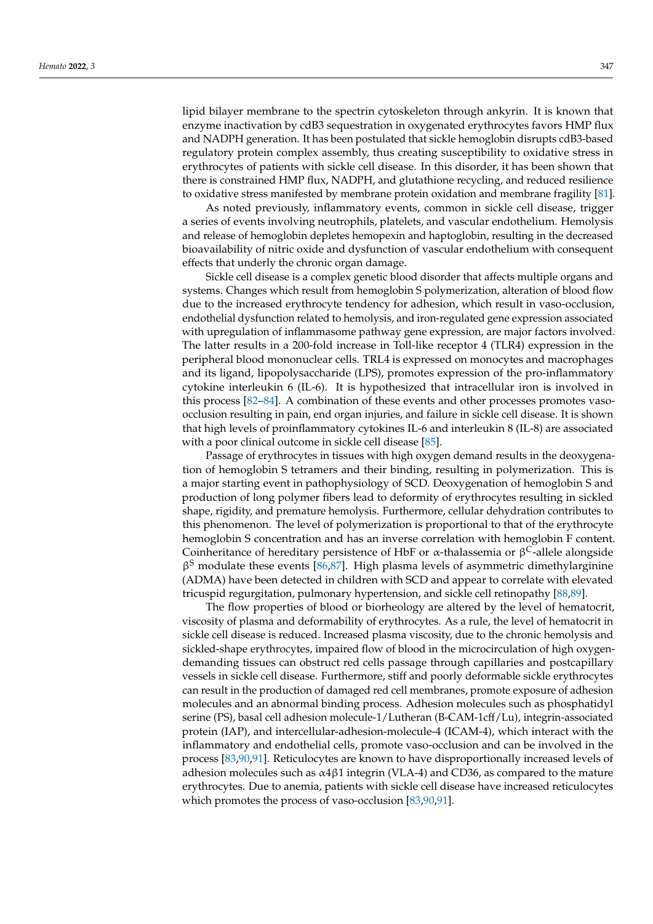lipid bilayer membrane to the spectrin cytoskeleton through ankyrin. It is known that enzyme inactivation by cdB3 sequestration in oxygenated erythrocytes favors HMP flux and NADPH generation. It has been postulated that sickle hemoglobin disrupts cdB3-based regulatory protein complex assembly, thus creating susceptibility to oxidative stress in erythrocytes of patients with sickle cell disease. In this disorder, it has been shown that there is constrained HMP flux, NADPH, and glutathione recycling, and reduced resilience to oxidative stress manifested by membrane protein oxidation and membrane fragility [\[81\]](#page-19-17).

As noted previously, inflammatory events, common in sickle cell disease, trigger a series of events involving neutrophils, platelets, and vascular endothelium. Hemolysis and release of hemoglobin depletes hemopexin and haptoglobin, resulting in the decreased bioavailability of nitric oxide and dysfunction of vascular endothelium with consequent effects that underly the chronic organ damage.

Sickle cell disease is a complex genetic blood disorder that affects multiple organs and systems. Changes which result from hemoglobin S polymerization, alteration of blood flow due to the increased erythrocyte tendency for adhesion, which result in vaso-occlusion, endothelial dysfunction related to hemolysis, and iron-regulated gene expression associated with upregulation of inflammasome pathway gene expression, are major factors involved. The latter results in a 200-fold increase in Toll-like receptor 4 (TLR4) expression in the peripheral blood mononuclear cells. TRL4 is expressed on monocytes and macrophages and its ligand, lipopolysaccharide (LPS), promotes expression of the pro-inflammatory cytokine interleukin 6 (IL-6). It is hypothesized that intracellular iron is involved in this process [\[82](#page-19-18)[–84\]](#page-20-0). A combination of these events and other processes promotes vasoocclusion resulting in pain, end organ injuries, and failure in sickle cell disease. It is shown that high levels of proinflammatory cytokines IL-6 and interleukin 8 (IL-8) are associated with a poor clinical outcome in sickle cell disease [\[85\]](#page-20-1).

Passage of erythrocytes in tissues with high oxygen demand results in the deoxygenation of hemoglobin S tetramers and their binding, resulting in polymerization. This is a major starting event in pathophysiology of SCD. Deoxygenation of hemoglobin S and production of long polymer fibers lead to deformity of erythrocytes resulting in sickled shape, rigidity, and premature hemolysis. Furthermore, cellular dehydration contributes to this phenomenon. The level of polymerization is proportional to that of the erythrocyte hemoglobin S concentration and has an inverse correlation with hemoglobin F content. Coinheritance of hereditary persistence of HbF or α-thalassemia or  $\beta^C$ -allele alongside  $\beta$ <sup>S</sup> modulate these events [\[86](#page-20-2)[,87\]](#page-20-3). High plasma levels of asymmetric dimethylarginine (ADMA) have been detected in children with SCD and appear to correlate with elevated tricuspid regurgitation, pulmonary hypertension, and sickle cell retinopathy [\[88](#page-20-4)[,89\]](#page-20-5).

The flow properties of blood or biorheology are altered by the level of hematocrit, viscosity of plasma and deformability of erythrocytes. As a rule, the level of hematocrit in sickle cell disease is reduced. Increased plasma viscosity, due to the chronic hemolysis and sickled-shape erythrocytes, impaired flow of blood in the microcirculation of high oxygendemanding tissues can obstruct red cells passage through capillaries and postcapillary vessels in sickle cell disease. Furthermore, stiff and poorly deformable sickle erythrocytes can result in the production of damaged red cell membranes, promote exposure of adhesion molecules and an abnormal binding process. Adhesion molecules such as phosphatidyl serine (PS), basal cell adhesion molecule-1/Lutheran (B-CAM-1cff/Lu), integrin-associated protein (IAP), and intercellular-adhesion-molecule-4 (ICAM-4), which interact with the inflammatory and endothelial cells, promote vaso-occlusion and can be involved in the process [\[83,](#page-19-19)[90,](#page-20-6)[91\]](#page-20-7). Reticulocytes are known to have disproportionally increased levels of adhesion molecules such as  $\alpha$ 4 $\beta$ 1 integrin (VLA-4) and CD36, as compared to the mature erythrocytes. Due to anemia, patients with sickle cell disease have increased reticulocytes which promotes the process of vaso-occlusion [\[83,](#page-19-19)[90,](#page-20-6)[91\]](#page-20-7).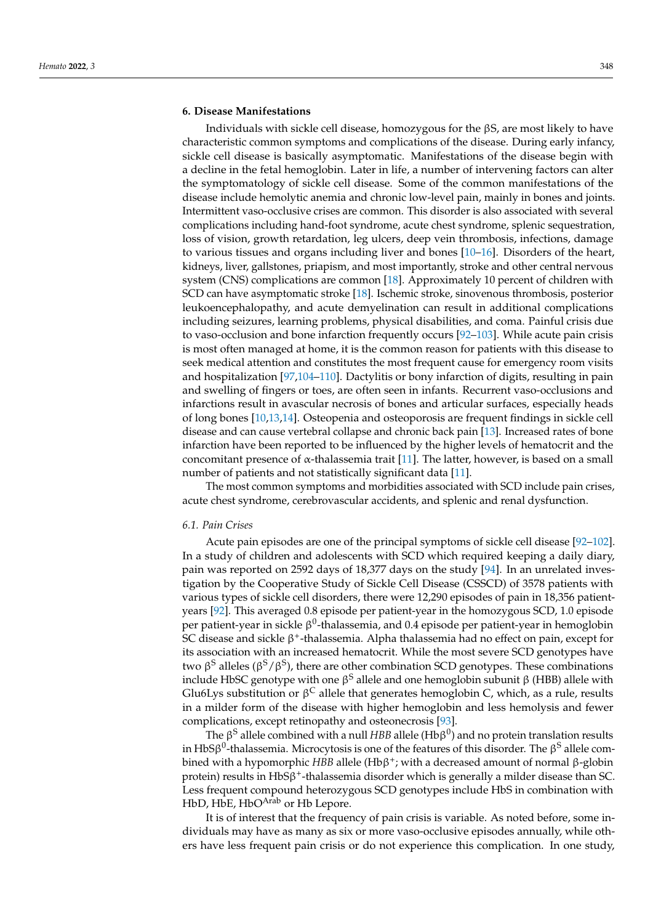# **6. Disease Manifestations**

Individuals with sickle cell disease, homozygous for the  $\beta S$ , are most likely to have characteristic common symptoms and complications of the disease. During early infancy, sickle cell disease is basically asymptomatic. Manifestations of the disease begin with a decline in the fetal hemoglobin. Later in life, a number of intervening factors can alter the symptomatology of sickle cell disease. Some of the common manifestations of the disease include hemolytic anemia and chronic low-level pain, mainly in bones and joints. Intermittent vaso-occlusive crises are common. This disorder is also associated with several complications including hand-foot syndrome, acute chest syndrome, splenic sequestration, loss of vision, growth retardation, leg ulcers, deep vein thrombosis, infections, damage to various tissues and organs including liver and bones [\[10–](#page-17-6)[16\]](#page-17-16). Disorders of the heart, kidneys, liver, gallstones, priapism, and most importantly, stroke and other central nervous system (CNS) complications are common [\[18\]](#page-17-7). Approximately 10 percent of children with SCD can have asymptomatic stroke [\[18\]](#page-17-7). Ischemic stroke, sinovenous thrombosis, posterior leukoencephalopathy, and acute demyelination can result in additional complications including seizures, learning problems, physical disabilities, and coma. Painful crisis due to vaso-occlusion and bone infarction frequently occurs [\[92–](#page-20-8)[103\]](#page-20-9). While acute pain crisis is most often managed at home, it is the common reason for patients with this disease to seek medical attention and constitutes the most frequent cause for emergency room visits and hospitalization [\[97](#page-20-10)[,104](#page-20-11)[–110\]](#page-20-12). Dactylitis or bony infarction of digits, resulting in pain and swelling of fingers or toes, are often seen in infants. Recurrent vaso-occlusions and infarctions result in avascular necrosis of bones and articular surfaces, especially heads of long bones [\[10,](#page-17-6)[13,](#page-17-17)[14\]](#page-17-18). Osteopenia and osteoporosis are frequent findings in sickle cell disease and can cause vertebral collapse and chronic back pain [\[13\]](#page-17-17). Increased rates of bone infarction have been reported to be influenced by the higher levels of hematocrit and the concomitant presence of α-thalassemia trait [\[11\]](#page-17-19). The latter, however, is based on a small number of patients and not statistically significant data [\[11\]](#page-17-19).

The most common symptoms and morbidities associated with SCD include pain crises, acute chest syndrome, cerebrovascular accidents, and splenic and renal dysfunction.

#### *6.1. Pain Crises*

Acute pain episodes are one of the principal symptoms of sickle cell disease [\[92](#page-20-8)[–102\]](#page-20-13). In a study of children and adolescents with SCD which required keeping a daily diary, pain was reported on 2592 days of 18,377 days on the study [\[94\]](#page-20-14). In an unrelated investigation by the Cooperative Study of Sickle Cell Disease (CSSCD) of 3578 patients with various types of sickle cell disorders, there were 12,290 episodes of pain in 18,356 patientyears [\[92\]](#page-20-8). This averaged 0.8 episode per patient-year in the homozygous SCD, 1.0 episode per patient-year in sickle  $\beta^0$ -thalassemia, and 0.4 episode per patient-year in hemoglobin SC disease and sickle β<sup>+</sup>-thalassemia. Alpha thalassemia had no effect on pain, except for its association with an increased hematocrit. While the most severe SCD genotypes have two β<sup>S</sup> alleles (β<sup>S</sup>/β<sup>S</sup>), there are other combination SCD genotypes. These combinations include HbSC genotype with one β<sup>S</sup> allele and one hemoglobin subunit β (HBB) allele with Glu6Lys substitution or β<sup>C</sup> allele that generates hemoglobin C, which, as a rule, results in a milder form of the disease with higher hemoglobin and less hemolysis and fewer complications, except retinopathy and osteonecrosis [\[93\]](#page-20-15).

The  $\beta$ <sup>S</sup> allele combined with a null HBB allele (Hb $\beta^0$ ) and no protein translation results in HbS $\beta^0$ -thalassemia. Microcytosis is one of the features of this disorder. The  $\beta^{\rm S}$  allele combined with a hypomorphic *HBB* allele (Hbβ + ; with a decreased amount of normal β-globin protein) results in HbSβ + -thalassemia disorder which is generally a milder disease than SC. Less frequent compound heterozygous SCD genotypes include HbS in combination with HbD, HbE, HbO<sup>Arab</sup> or Hb Lepore.

It is of interest that the frequency of pain crisis is variable. As noted before, some individuals may have as many as six or more vaso-occlusive episodes annually, while others have less frequent pain crisis or do not experience this complication. In one study,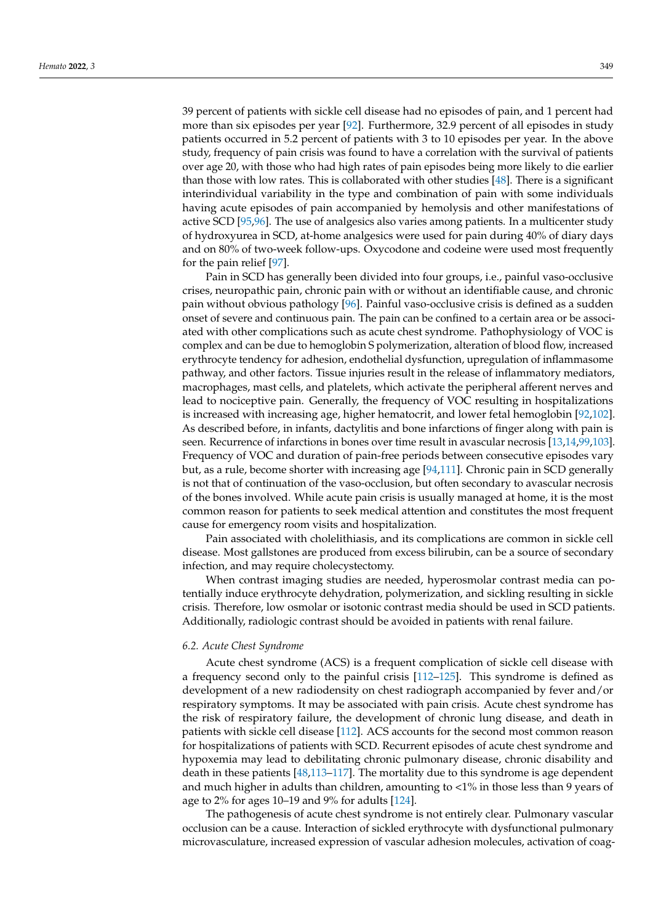39 percent of patients with sickle cell disease had no episodes of pain, and 1 percent had more than six episodes per year [\[92\]](#page-20-8). Furthermore, 32.9 percent of all episodes in study patients occurred in 5.2 percent of patients with 3 to 10 episodes per year. In the above study, frequency of pain crisis was found to have a correlation with the survival of patients over age 20, with those who had high rates of pain episodes being more likely to die earlier than those with low rates. This is collaborated with other studies [\[48\]](#page-18-12). There is a significant interindividual variability in the type and combination of pain with some individuals having acute episodes of pain accompanied by hemolysis and other manifestations of active SCD [\[95](#page-20-16)[,96\]](#page-20-17). The use of analgesics also varies among patients. In a multicenter study of hydroxyurea in SCD, at-home analgesics were used for pain during 40% of diary days and on 80% of two-week follow-ups. Oxycodone and codeine were used most frequently for the pain relief [\[97\]](#page-20-10).

Pain in SCD has generally been divided into four groups, i.e., painful vaso-occlusive crises, neuropathic pain, chronic pain with or without an identifiable cause, and chronic pain without obvious pathology [\[96\]](#page-20-17). Painful vaso-occlusive crisis is defined as a sudden onset of severe and continuous pain. The pain can be confined to a certain area or be associated with other complications such as acute chest syndrome. Pathophysiology of VOC is complex and can be due to hemoglobin S polymerization, alteration of blood flow, increased erythrocyte tendency for adhesion, endothelial dysfunction, upregulation of inflammasome pathway, and other factors. Tissue injuries result in the release of inflammatory mediators, macrophages, mast cells, and platelets, which activate the peripheral afferent nerves and lead to nociceptive pain. Generally, the frequency of VOC resulting in hospitalizations is increased with increasing age, higher hematocrit, and lower fetal hemoglobin [\[92,](#page-20-8)[102\]](#page-20-13). As described before, in infants, dactylitis and bone infarctions of finger along with pain is seen. Recurrence of infarctions in bones over time result in avascular necrosis [\[13,](#page-17-17)[14,](#page-17-18)[99](#page-20-18)[,103\]](#page-20-9). Frequency of VOC and duration of pain-free periods between consecutive episodes vary but, as a rule, become shorter with increasing age [\[94](#page-20-14)[,111\]](#page-20-19). Chronic pain in SCD generally is not that of continuation of the vaso-occlusion, but often secondary to avascular necrosis of the bones involved. While acute pain crisis is usually managed at home, it is the most common reason for patients to seek medical attention and constitutes the most frequent cause for emergency room visits and hospitalization.

Pain associated with cholelithiasis, and its complications are common in sickle cell disease. Most gallstones are produced from excess bilirubin, can be a source of secondary infection, and may require cholecystectomy.

When contrast imaging studies are needed, hyperosmolar contrast media can potentially induce erythrocyte dehydration, polymerization, and sickling resulting in sickle crisis. Therefore, low osmolar or isotonic contrast media should be used in SCD patients. Additionally, radiologic contrast should be avoided in patients with renal failure.

### *6.2. Acute Chest Syndrome*

Acute chest syndrome (ACS) is a frequent complication of sickle cell disease with a frequency second only to the painful crisis [\[112](#page-20-20)[–125\]](#page-21-0). This syndrome is defined as development of a new radiodensity on chest radiograph accompanied by fever and/or respiratory symptoms. It may be associated with pain crisis. Acute chest syndrome has the risk of respiratory failure, the development of chronic lung disease, and death in patients with sickle cell disease [\[112\]](#page-20-20). ACS accounts for the second most common reason for hospitalizations of patients with SCD. Recurrent episodes of acute chest syndrome and hypoxemia may lead to debilitating chronic pulmonary disease, chronic disability and death in these patients [\[48,](#page-18-12)[113](#page-21-1)[–117\]](#page-21-2). The mortality due to this syndrome is age dependent and much higher in adults than children, amounting to <1% in those less than 9 years of age to 2% for ages 10–19 and 9% for adults [\[124\]](#page-21-3).

The pathogenesis of acute chest syndrome is not entirely clear. Pulmonary vascular occlusion can be a cause. Interaction of sickled erythrocyte with dysfunctional pulmonary microvasculature, increased expression of vascular adhesion molecules, activation of coag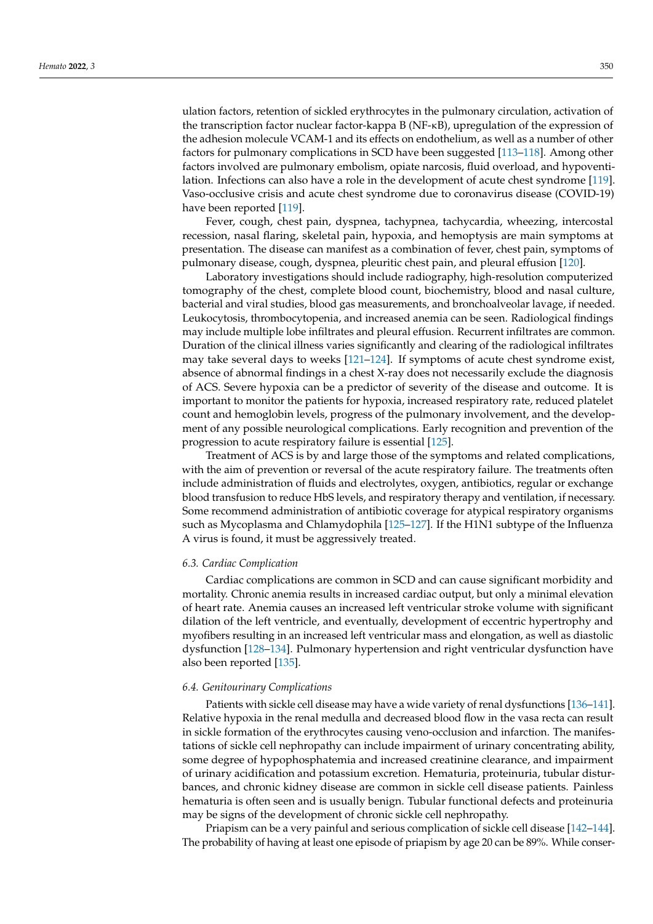ulation factors, retention of sickled erythrocytes in the pulmonary circulation, activation of the transcription factor nuclear factor-kappa B (NF-κB), upregulation of the expression of the adhesion molecule VCAM-1 and its effects on endothelium, as well as a number of other factors for pulmonary complications in SCD have been suggested [\[113](#page-21-1)[–118\]](#page-21-4). Among other factors involved are pulmonary embolism, opiate narcosis, fluid overload, and hypoventilation. Infections can also have a role in the development of acute chest syndrome [\[119\]](#page-21-5). Vaso-occlusive crisis and acute chest syndrome due to coronavirus disease (COVID-19) have been reported [\[119\]](#page-21-5).

Fever, cough, chest pain, dyspnea, tachypnea, tachycardia, wheezing, intercostal recession, nasal flaring, skeletal pain, hypoxia, and hemoptysis are main symptoms at presentation. The disease can manifest as a combination of fever, chest pain, symptoms of pulmonary disease, cough, dyspnea, pleuritic chest pain, and pleural effusion [\[120\]](#page-21-6).

Laboratory investigations should include radiography, high-resolution computerized tomography of the chest, complete blood count, biochemistry, blood and nasal culture, bacterial and viral studies, blood gas measurements, and bronchoalveolar lavage, if needed. Leukocytosis, thrombocytopenia, and increased anemia can be seen. Radiological findings may include multiple lobe infiltrates and pleural effusion. Recurrent infiltrates are common. Duration of the clinical illness varies significantly and clearing of the radiological infiltrates may take several days to weeks [\[121](#page-21-7)[–124\]](#page-21-3). If symptoms of acute chest syndrome exist, absence of abnormal findings in a chest X-ray does not necessarily exclude the diagnosis of ACS. Severe hypoxia can be a predictor of severity of the disease and outcome. It is important to monitor the patients for hypoxia, increased respiratory rate, reduced platelet count and hemoglobin levels, progress of the pulmonary involvement, and the development of any possible neurological complications. Early recognition and prevention of the progression to acute respiratory failure is essential [\[125\]](#page-21-0).

Treatment of ACS is by and large those of the symptoms and related complications, with the aim of prevention or reversal of the acute respiratory failure. The treatments often include administration of fluids and electrolytes, oxygen, antibiotics, regular or exchange blood transfusion to reduce HbS levels, and respiratory therapy and ventilation, if necessary. Some recommend administration of antibiotic coverage for atypical respiratory organisms such as Mycoplasma and Chlamydophila [\[125](#page-21-0)[–127\]](#page-21-8). If the H1N1 subtype of the Influenza A virus is found, it must be aggressively treated.

#### *6.3. Cardiac Complication*

Cardiac complications are common in SCD and can cause significant morbidity and mortality. Chronic anemia results in increased cardiac output, but only a minimal elevation of heart rate. Anemia causes an increased left ventricular stroke volume with significant dilation of the left ventricle, and eventually, development of eccentric hypertrophy and myofibers resulting in an increased left ventricular mass and elongation, as well as diastolic dysfunction [\[128](#page-21-9)[–134\]](#page-21-10). Pulmonary hypertension and right ventricular dysfunction have also been reported [\[135\]](#page-21-11).

### *6.4. Genitourinary Complications*

Patients with sickle cell disease may have a wide variety of renal dysfunctions [\[136–](#page-21-12)[141\]](#page-22-0). Relative hypoxia in the renal medulla and decreased blood flow in the vasa recta can result in sickle formation of the erythrocytes causing veno-occlusion and infarction. The manifestations of sickle cell nephropathy can include impairment of urinary concentrating ability, some degree of hypophosphatemia and increased creatinine clearance, and impairment of urinary acidification and potassium excretion. Hematuria, proteinuria, tubular disturbances, and chronic kidney disease are common in sickle cell disease patients. Painless hematuria is often seen and is usually benign. Tubular functional defects and proteinuria may be signs of the development of chronic sickle cell nephropathy.

Priapism can be a very painful and serious complication of sickle cell disease [\[142](#page-22-1)[–144\]](#page-22-2). The probability of having at least one episode of priapism by age 20 can be 89%. While conser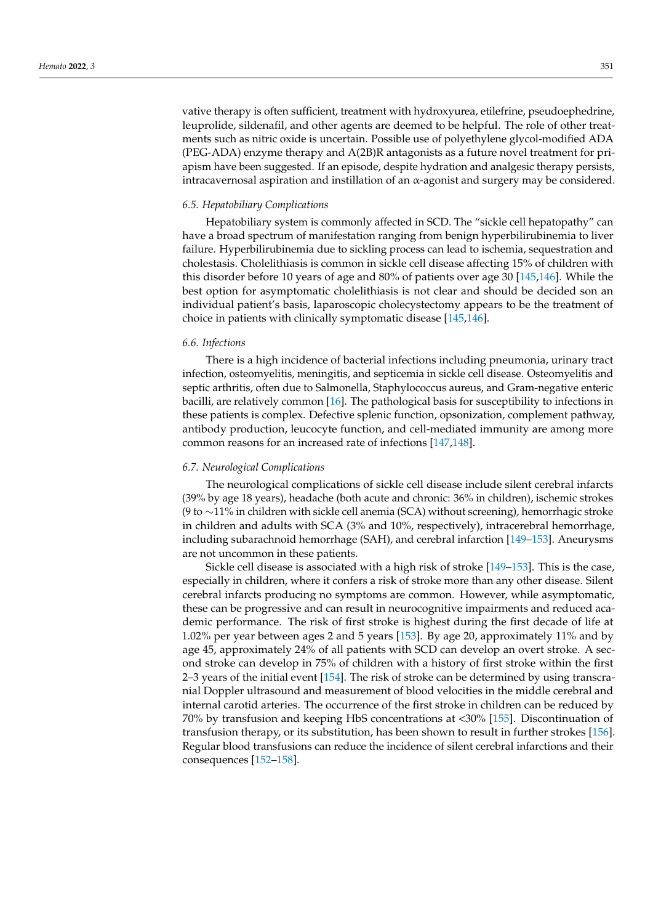vative therapy is often sufficient, treatment with hydroxyurea, etilefrine, pseudoephedrine, leuprolide, sildenafil, and other agents are deemed to be helpful. The role of other treatments such as nitric oxide is uncertain. Possible use of polyethylene glycol-modified ADA (PEG-ADA) enzyme therapy and A(2B)R antagonists as a future novel treatment for priapism have been suggested. If an episode, despite hydration and analgesic therapy persists, intracavernosal aspiration and instillation of an  $\alpha$ -agonist and surgery may be considered.

#### *6.5. Hepatobiliary Complications*

Hepatobiliary system is commonly affected in SCD. The "sickle cell hepatopathy" can have a broad spectrum of manifestation ranging from benign hyperbilirubinemia to liver failure. Hyperbilirubinemia due to sickling process can lead to ischemia, sequestration and cholestasis. Cholelithiasis is common in sickle cell disease affecting 15% of children with this disorder before 10 years of age and 80% of patients over age 30 [\[145](#page-22-3)[,146\]](#page-22-4). While the best option for asymptomatic cholelithiasis is not clear and should be decided son an individual patient's basis, laparoscopic cholecystectomy appears to be the treatment of choice in patients with clinically symptomatic disease [\[145,](#page-22-3)[146\]](#page-22-4).

#### *6.6. Infections*

There is a high incidence of bacterial infections including pneumonia, urinary tract infection, osteomyelitis, meningitis, and septicemia in sickle cell disease. Osteomyelitis and septic arthritis, often due to Salmonella, Staphylococcus aureus, and Gram-negative enteric bacilli, are relatively common [\[16\]](#page-17-16). The pathological basis for susceptibility to infections in these patients is complex. Defective splenic function, opsonization, complement pathway, antibody production, leucocyte function, and cell-mediated immunity are among more common reasons for an increased rate of infections [\[147,](#page-22-5)[148\]](#page-22-6).

#### *6.7. Neurological Complications*

The neurological complications of sickle cell disease include silent cerebral infarcts (39% by age 18 years), headache (both acute and chronic: 36% in children), ischemic strokes (9 to ∼11% in children with sickle cell anemia (SCA) without screening), hemorrhagic stroke in children and adults with SCA (3% and 10%, respectively), intracerebral hemorrhage, including subarachnoid hemorrhage (SAH), and cerebral infarction [\[149–](#page-22-7)[153\]](#page-22-8). Aneurysms are not uncommon in these patients.

Sickle cell disease is associated with a high risk of stroke [\[149–](#page-22-7)[153\]](#page-22-8). This is the case, especially in children, where it confers a risk of stroke more than any other disease. Silent cerebral infarcts producing no symptoms are common. However, while asymptomatic, these can be progressive and can result in neurocognitive impairments and reduced academic performance. The risk of first stroke is highest during the first decade of life at 1.02% per year between ages 2 and 5 years [\[153\]](#page-22-8). By age 20, approximately 11% and by age 45, approximately 24% of all patients with SCD can develop an overt stroke. A second stroke can develop in 75% of children with a history of first stroke within the first 2–3 years of the initial event [\[154\]](#page-22-9). The risk of stroke can be determined by using transcranial Doppler ultrasound and measurement of blood velocities in the middle cerebral and internal carotid arteries. The occurrence of the first stroke in children can be reduced by 70% by transfusion and keeping HbS concentrations at <30% [\[155\]](#page-22-10). Discontinuation of transfusion therapy, or its substitution, has been shown to result in further strokes [\[156\]](#page-22-11). Regular blood transfusions can reduce the incidence of silent cerebral infarctions and their consequences [\[152](#page-22-12)[–158\]](#page-22-13).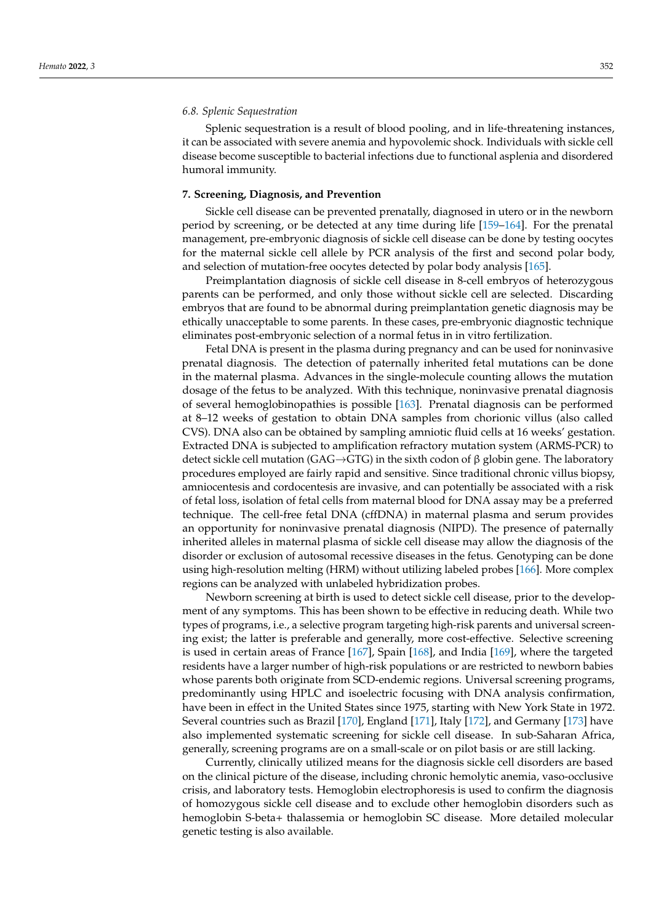Splenic sequestration is a result of blood pooling, and in life-threatening instances, it can be associated with severe anemia and hypovolemic shock. Individuals with sickle cell disease become susceptible to bacterial infections due to functional asplenia and disordered humoral immunity.

#### **7. Screening, Diagnosis, and Prevention**

Sickle cell disease can be prevented prenatally, diagnosed in utero or in the newborn period by screening, or be detected at any time during life [\[159](#page-22-14)[–164\]](#page-22-15). For the prenatal management, pre-embryonic diagnosis of sickle cell disease can be done by testing oocytes for the maternal sickle cell allele by PCR analysis of the first and second polar body, and selection of mutation-free oocytes detected by polar body analysis [\[165\]](#page-22-16).

Preimplantation diagnosis of sickle cell disease in 8-cell embryos of heterozygous parents can be performed, and only those without sickle cell are selected. Discarding embryos that are found to be abnormal during preimplantation genetic diagnosis may be ethically unacceptable to some parents. In these cases, pre-embryonic diagnostic technique eliminates post-embryonic selection of a normal fetus in in vitro fertilization.

Fetal DNA is present in the plasma during pregnancy and can be used for noninvasive prenatal diagnosis. The detection of paternally inherited fetal mutations can be done in the maternal plasma. Advances in the single-molecule counting allows the mutation dosage of the fetus to be analyzed. With this technique, noninvasive prenatal diagnosis of several hemoglobinopathies is possible [\[163\]](#page-22-17). Prenatal diagnosis can be performed at 8–12 weeks of gestation to obtain DNA samples from chorionic villus (also called CVS). DNA also can be obtained by sampling amniotic fluid cells at 16 weeks' gestation. Extracted DNA is subjected to amplification refractory mutation system (ARMS-PCR) to detect sickle cell mutation (GAG→GTG) in the sixth codon of  $\beta$  globin gene. The laboratory procedures employed are fairly rapid and sensitive. Since traditional chronic villus biopsy, amniocentesis and cordocentesis are invasive, and can potentially be associated with a risk of fetal loss, isolation of fetal cells from maternal blood for DNA assay may be a preferred technique. The cell-free fetal DNA (cffDNA) in maternal plasma and serum provides an opportunity for noninvasive prenatal diagnosis (NIPD). The presence of paternally inherited alleles in maternal plasma of sickle cell disease may allow the diagnosis of the disorder or exclusion of autosomal recessive diseases in the fetus. Genotyping can be done using high-resolution melting (HRM) without utilizing labeled probes [\[166\]](#page-22-18). More complex regions can be analyzed with unlabeled hybridization probes.

Newborn screening at birth is used to detect sickle cell disease, prior to the development of any symptoms. This has been shown to be effective in reducing death. While two types of programs, i.e., a selective program targeting high-risk parents and universal screening exist; the latter is preferable and generally, more cost-effective. Selective screening is used in certain areas of France [\[167\]](#page-22-19), Spain [\[168\]](#page-22-20), and India [\[169\]](#page-22-21), where the targeted residents have a larger number of high-risk populations or are restricted to newborn babies whose parents both originate from SCD-endemic regions. Universal screening programs, predominantly using HPLC and isoelectric focusing with DNA analysis confirmation, have been in effect in the United States since 1975, starting with New York State in 1972. Several countries such as Brazil [\[170\]](#page-23-0), England [\[171\]](#page-23-1), Italy [\[172\]](#page-23-2), and Germany [\[173\]](#page-23-3) have also implemented systematic screening for sickle cell disease. In sub-Saharan Africa, generally, screening programs are on a small-scale or on pilot basis or are still lacking.

Currently, clinically utilized means for the diagnosis sickle cell disorders are based on the clinical picture of the disease, including chronic hemolytic anemia, vaso-occlusive crisis, and laboratory tests. Hemoglobin electrophoresis is used to confirm the diagnosis of homozygous sickle cell disease and to exclude other hemoglobin disorders such as hemoglobin S-beta+ thalassemia or hemoglobin SC disease. More detailed molecular genetic testing is also available.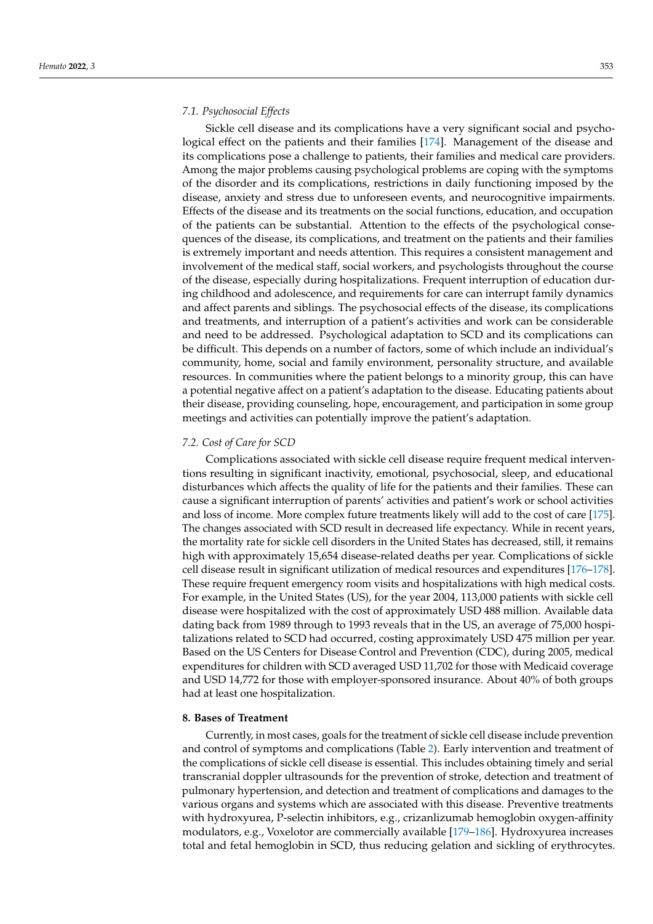Sickle cell disease and its complications have a very significant social and psychological effect on the patients and their families [\[174\]](#page-23-4). Management of the disease and its complications pose a challenge to patients, their families and medical care providers. Among the major problems causing psychological problems are coping with the symptoms of the disorder and its complications, restrictions in daily functioning imposed by the disease, anxiety and stress due to unforeseen events, and neurocognitive impairments. Effects of the disease and its treatments on the social functions, education, and occupation of the patients can be substantial. Attention to the effects of the psychological consequences of the disease, its complications, and treatment on the patients and their families is extremely important and needs attention. This requires a consistent management and involvement of the medical staff, social workers, and psychologists throughout the course of the disease, especially during hospitalizations. Frequent interruption of education during childhood and adolescence, and requirements for care can interrupt family dynamics and affect parents and siblings. The psychosocial effects of the disease, its complications and treatments, and interruption of a patient's activities and work can be considerable and need to be addressed. Psychological adaptation to SCD and its complications can be difficult. This depends on a number of factors, some of which include an individual's community, home, social and family environment, personality structure, and available resources. In communities where the patient belongs to a minority group, this can have a potential negative affect on a patient's adaptation to the disease. Educating patients about their disease, providing counseling, hope, encouragement, and participation in some group meetings and activities can potentially improve the patient's adaptation.

### *7.2. Cost of Care for SCD*

Complications associated with sickle cell disease require frequent medical interventions resulting in significant inactivity, emotional, psychosocial, sleep, and educational disturbances which affects the quality of life for the patients and their families. These can cause a significant interruption of parents' activities and patient's work or school activities and loss of income. More complex future treatments likely will add to the cost of care [\[175\]](#page-23-5). The changes associated with SCD result in decreased life expectancy. While in recent years, the mortality rate for sickle cell disorders in the United States has decreased, still, it remains high with approximately 15,654 disease-related deaths per year. Complications of sickle cell disease result in significant utilization of medical resources and expenditures [\[176](#page-23-6)[–178\]](#page-23-7). These require frequent emergency room visits and hospitalizations with high medical costs. For example, in the United States (US), for the year 2004, 113,000 patients with sickle cell disease were hospitalized with the cost of approximately USD 488 million. Available data dating back from 1989 through to 1993 reveals that in the US, an average of 75,000 hospitalizations related to SCD had occurred, costing approximately USD 475 million per year. Based on the US Centers for Disease Control and Prevention (CDC), during 2005, medical expenditures for children with SCD averaged USD 11,702 for those with Medicaid coverage and USD 14,772 for those with employer-sponsored insurance. About 40% of both groups had at least one hospitalization.

# **8. Bases of Treatment**

Currently, in most cases, goals for the treatment of sickle cell disease include prevention and control of symptoms and complications (Table [2\)](#page-13-0). Early intervention and treatment of the complications of sickle cell disease is essential. This includes obtaining timely and serial transcranial doppler ultrasounds for the prevention of stroke, detection and treatment of pulmonary hypertension, and detection and treatment of complications and damages to the various organs and systems which are associated with this disease. Preventive treatments with hydroxyurea, P-selectin inhibitors, e.g., crizanlizumab hemoglobin oxygen-affinity modulators, e.g., Voxelotor are commercially available [\[179–](#page-23-8)[186\]](#page-23-9). Hydroxyurea increases total and fetal hemoglobin in SCD, thus reducing gelation and sickling of erythrocytes.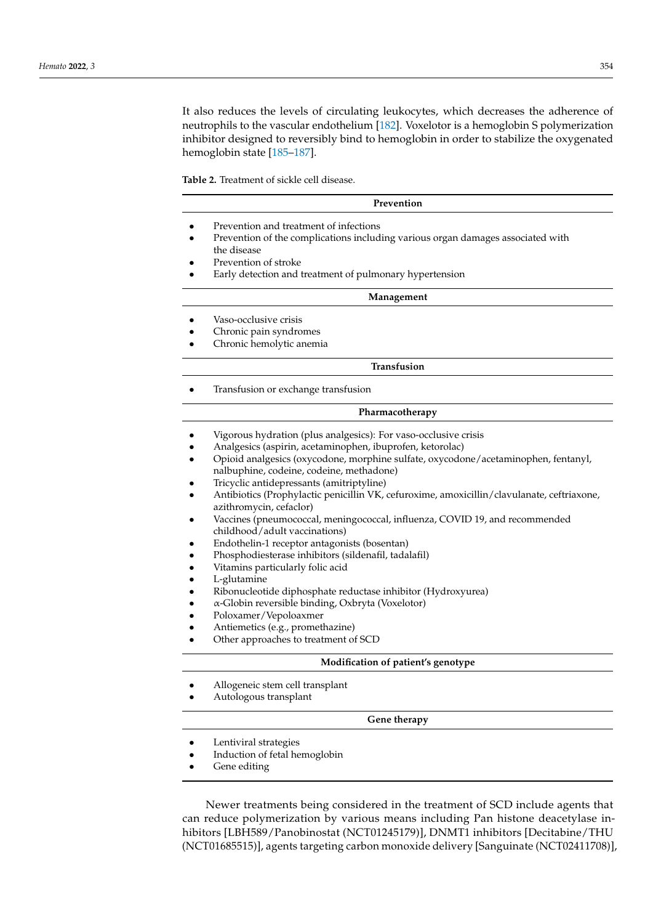It also reduces the levels of circulating leukocytes, which decreases the adherence of neutrophils to the vascular endothelium [\[182\]](#page-23-10). Voxelotor is a hemoglobin S polymerization inhibitor designed to reversibly bind to hemoglobin in order to stabilize the oxygenated hemoglobin state [\[185–](#page-23-11)[187\]](#page-23-12).

<span id="page-13-0"></span>**Table 2.** Treatment of sickle cell disease.

#### **Prevention**

- Prevention and treatment of infections
- Prevention of the complications including various organ damages associated with the disease
- Prevention of stroke
- Early detection and treatment of pulmonary hypertension

#### **Management**

- Vaso-occlusive crisis
- Chronic pain syndromes
- Chronic hemolytic anemia

### **Transfusion**

• Transfusion or exchange transfusion

# **Pharmacotherapy**

- Vigorous hydration (plus analgesics): For vaso-occlusive crisis
- Analgesics (aspirin, acetaminophen, ibuprofen, ketorolac)
- Opioid analgesics (oxycodone, morphine sulfate, oxycodone/acetaminophen, fentanyl, nalbuphine, codeine, codeine, methadone)
- Tricyclic antidepressants (amitriptyline)
- Antibiotics (Prophylactic penicillin VK, cefuroxime, amoxicillin/clavulanate, ceftriaxone, azithromycin, cefaclor)
- Vaccines (pneumococcal, meningococcal, influenza, COVID 19, and recommended childhood/adult vaccinations)
- Endothelin-1 receptor antagonists (bosentan)
- Phosphodiesterase inhibitors (sildenafil, tadalafil)
- Vitamins particularly folic acid
- L-glutamine
- Ribonucleotide diphosphate reductase inhibitor (Hydroxyurea)
- α-Globin reversible binding, Oxbryta (Voxelotor)
- Poloxamer/Vepoloaxmer
- Antiemetics (e.g., promethazine)
- Other approaches to treatment of SCD

# **Modification of patient's genotype**

- Allogeneic stem cell transplant
- Autologous transplant

#### **Gene therapy**

- Lentiviral strategies
- Induction of fetal hemoglobin
- Gene editing

Newer treatments being considered in the treatment of SCD include agents that can reduce polymerization by various means including Pan histone deacetylase inhibitors [LBH589/Panobinostat (NCT01245179)], DNMT1 inhibitors [Decitabine/THU (NCT01685515)], agents targeting carbon monoxide delivery [Sanguinate (NCT02411708)],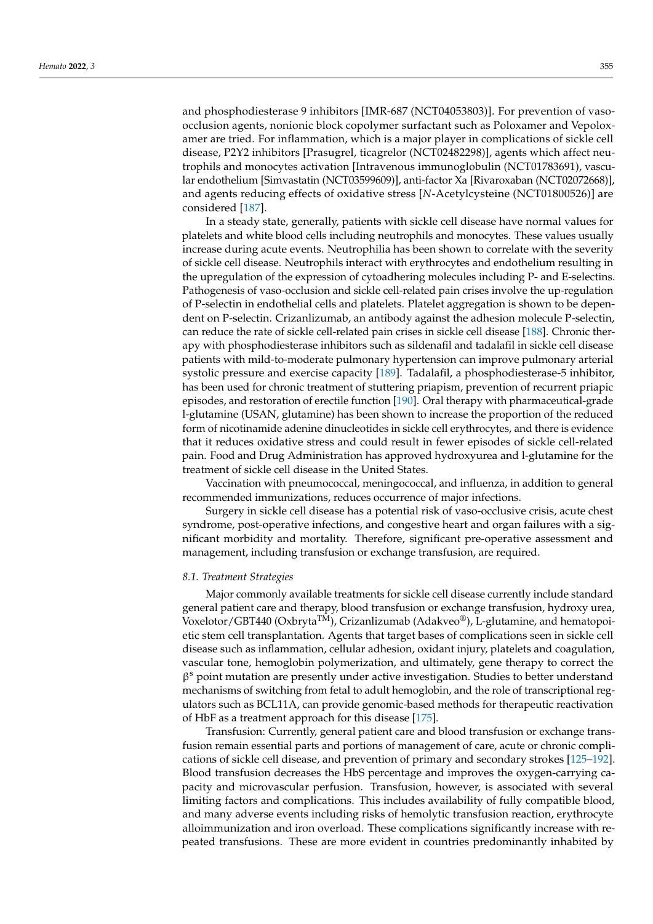and phosphodiesterase 9 inhibitors [IMR-687 (NCT04053803)]. For prevention of vasoocclusion agents, nonionic block copolymer surfactant such as Poloxamer and Vepoloxamer are tried. For inflammation, which is a major player in complications of sickle cell disease, P2Y2 inhibitors [Prasugrel, ticagrelor (NCT02482298)], agents which affect neutrophils and monocytes activation [Intravenous immunoglobulin (NCT01783691), vascular endothelium [Simvastatin (NCT03599609)], anti-factor Xa [Rivaroxaban (NCT02072668)], and agents reducing effects of oxidative stress [*N*-Acetylcysteine (NCT01800526)] are considered [\[187\]](#page-23-12).

In a steady state, generally, patients with sickle cell disease have normal values for platelets and white blood cells including neutrophils and monocytes. These values usually increase during acute events. Neutrophilia has been shown to correlate with the severity of sickle cell disease. Neutrophils interact with erythrocytes and endothelium resulting in the upregulation of the expression of cytoadhering molecules including P- and E-selectins. Pathogenesis of vaso-occlusion and sickle cell-related pain crises involve the up-regulation of P-selectin in endothelial cells and platelets. Platelet aggregation is shown to be dependent on P-selectin. Crizanlizumab, an antibody against the adhesion molecule P-selectin, can reduce the rate of sickle cell-related pain crises in sickle cell disease [\[188\]](#page-23-13). Chronic therapy with phosphodiesterase inhibitors such as sildenafil and tadalafil in sickle cell disease patients with mild-to-moderate pulmonary hypertension can improve pulmonary arterial systolic pressure and exercise capacity [\[189\]](#page-23-14). Tadalafil, a phosphodiesterase-5 inhibitor, has been used for chronic treatment of stuttering priapism, prevention of recurrent priapic episodes, and restoration of erectile function [\[190\]](#page-23-15). Oral therapy with pharmaceutical-grade l-glutamine (USAN, glutamine) has been shown to increase the proportion of the reduced form of nicotinamide adenine dinucleotides in sickle cell erythrocytes, and there is evidence that it reduces oxidative stress and could result in fewer episodes of sickle cell-related pain. Food and Drug Administration has approved hydroxyurea and l-glutamine for the treatment of sickle cell disease in the United States.

Vaccination with pneumococcal, meningococcal, and influenza, in addition to general recommended immunizations, reduces occurrence of major infections.

Surgery in sickle cell disease has a potential risk of vaso-occlusive crisis, acute chest syndrome, post-operative infections, and congestive heart and organ failures with a significant morbidity and mortality. Therefore, significant pre-operative assessment and management, including transfusion or exchange transfusion, are required.

#### *8.1. Treatment Strategies*

Major commonly available treatments for sickle cell disease currently include standard general patient care and therapy, blood transfusion or exchange transfusion, hydroxy urea,  $\widetilde{\text{Voxelotor}}/\text{GBT440}$  (Oxbryta $\overline{\text{TM}}$ ), Crizanlizumab (Adakveo®), L-glutamine, and hematopoietic stem cell transplantation. Agents that target bases of complications seen in sickle cell disease such as inflammation, cellular adhesion, oxidant injury, platelets and coagulation, vascular tone, hemoglobin polymerization, and ultimately, gene therapy to correct the β <sup>s</sup> point mutation are presently under active investigation. Studies to better understand mechanisms of switching from fetal to adult hemoglobin, and the role of transcriptional regulators such as BCL11A, can provide genomic-based methods for therapeutic reactivation of HbF as a treatment approach for this disease [\[175\]](#page-23-5).

Transfusion: Currently, general patient care and blood transfusion or exchange transfusion remain essential parts and portions of management of care, acute or chronic complications of sickle cell disease, and prevention of primary and secondary strokes [\[125](#page-21-0)[–192\]](#page-23-16). Blood transfusion decreases the HbS percentage and improves the oxygen-carrying capacity and microvascular perfusion. Transfusion, however, is associated with several limiting factors and complications. This includes availability of fully compatible blood, and many adverse events including risks of hemolytic transfusion reaction, erythrocyte alloimmunization and iron overload. These complications significantly increase with repeated transfusions. These are more evident in countries predominantly inhabited by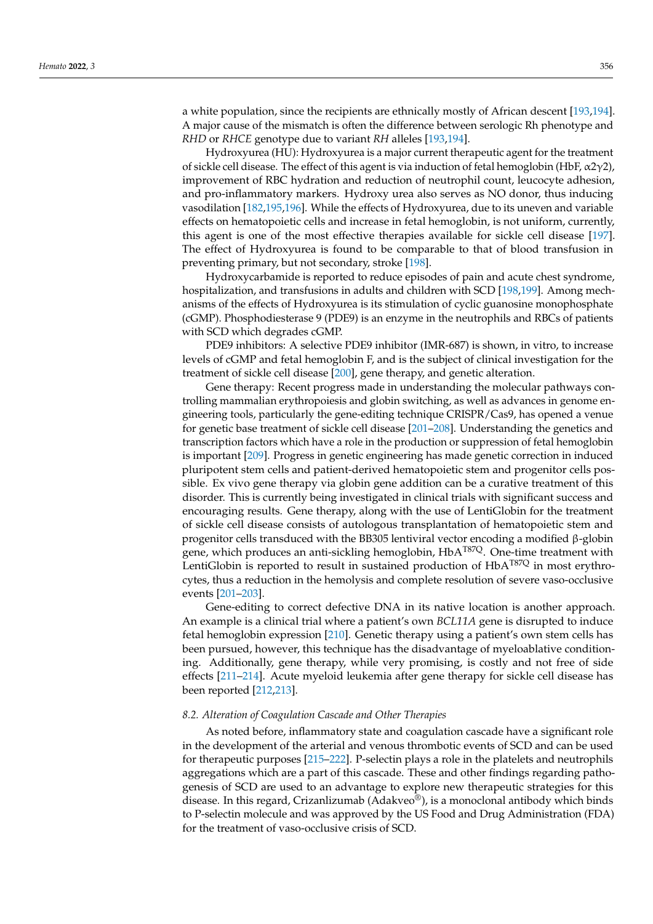a white population, since the recipients are ethnically mostly of African descent [\[193,](#page-23-17)[194\]](#page-23-18). A major cause of the mismatch is often the difference between serologic Rh phenotype and *RHD* or *RHCE* genotype due to variant *RH* alleles [\[193,](#page-23-17)[194\]](#page-23-18).

Hydroxyurea (HU): Hydroxyurea is a major current therapeutic agent for the treatment of sickle cell disease. The effect of this agent is via induction of fetal hemoglobin (HbF,  $\alpha$ 2γ2), improvement of RBC hydration and reduction of neutrophil count, leucocyte adhesion, and pro-inflammatory markers. Hydroxy urea also serves as NO donor, thus inducing vasodilation [\[182](#page-23-10)[,195,](#page-23-19)[196\]](#page-24-0). While the effects of Hydroxyurea, due to its uneven and variable effects on hematopoietic cells and increase in fetal hemoglobin, is not uniform, currently, this agent is one of the most effective therapies available for sickle cell disease [\[197\]](#page-24-1). The effect of Hydroxyurea is found to be comparable to that of blood transfusion in preventing primary, but not secondary, stroke [\[198\]](#page-24-2).

Hydroxycarbamide is reported to reduce episodes of pain and acute chest syndrome, hospitalization, and transfusions in adults and children with SCD [\[198,](#page-24-2)[199\]](#page-24-3). Among mechanisms of the effects of Hydroxyurea is its stimulation of cyclic guanosine monophosphate (cGMP). Phosphodiesterase 9 (PDE9) is an enzyme in the neutrophils and RBCs of patients with SCD which degrades cGMP.

PDE9 inhibitors: A selective PDE9 inhibitor (IMR-687) is shown, in vitro, to increase levels of cGMP and fetal hemoglobin F, and is the subject of clinical investigation for the treatment of sickle cell disease [\[200\]](#page-24-4), gene therapy, and genetic alteration.

Gene therapy: Recent progress made in understanding the molecular pathways controlling mammalian erythropoiesis and globin switching, as well as advances in genome engineering tools, particularly the gene-editing technique CRISPR/Cas9, has opened a venue for genetic base treatment of sickle cell disease [\[201](#page-24-5)[–208\]](#page-24-6). Understanding the genetics and transcription factors which have a role in the production or suppression of fetal hemoglobin is important [\[209\]](#page-24-7). Progress in genetic engineering has made genetic correction in induced pluripotent stem cells and patient-derived hematopoietic stem and progenitor cells possible. Ex vivo gene therapy via globin gene addition can be a curative treatment of this disorder. This is currently being investigated in clinical trials with significant success and encouraging results. Gene therapy, along with the use of LentiGlobin for the treatment of sickle cell disease consists of autologous transplantation of hematopoietic stem and progenitor cells transduced with the BB305 lentiviral vector encoding a modified β-globin gene, which produces an anti-sickling hemoglobin,  $H\rightarrow A^{T87Q}$ . One-time treatment with LentiGlobin is reported to result in sustained production of  $HbA^{T87Q}$  in most erythrocytes, thus a reduction in the hemolysis and complete resolution of severe vaso-occlusive events [\[201–](#page-24-5)[203\]](#page-24-8).

Gene-editing to correct defective DNA in its native location is another approach. An example is a clinical trial where a patient's own *BCL11A* gene is disrupted to induce fetal hemoglobin expression [\[210\]](#page-24-9). Genetic therapy using a patient's own stem cells has been pursued, however, this technique has the disadvantage of myeloablative conditioning. Additionally, gene therapy, while very promising, is costly and not free of side effects [\[211](#page-24-10)[–214\]](#page-24-11). Acute myeloid leukemia after gene therapy for sickle cell disease has been reported [\[212](#page-24-12)[,213\]](#page-24-13).

# *8.2. Alteration of Coagulation Cascade and Other Therapies*

As noted before, inflammatory state and coagulation cascade have a significant role in the development of the arterial and venous thrombotic events of SCD and can be used for therapeutic purposes [\[215](#page-24-14)[–222\]](#page-25-0). P-selectin plays a role in the platelets and neutrophils aggregations which are a part of this cascade. These and other findings regarding pathogenesis of SCD are used to an advantage to explore new therapeutic strategies for this disease. In this regard, Crizanlizumab (Adakveo®), is a monoclonal antibody which binds to P-selectin molecule and was approved by the US Food and Drug Administration (FDA) for the treatment of vaso-occlusive crisis of SCD.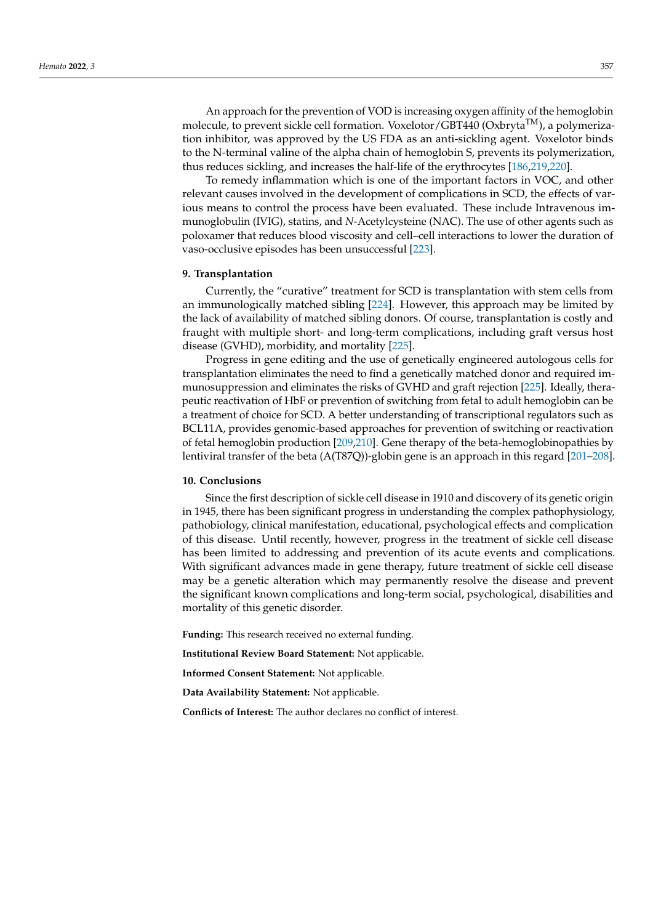An approach for the prevention of VOD is increasing oxygen affinity of the hemoglobin molecule, to prevent sickle cell formation. Voxelotor/GBT440 ( $Ox$ bryta<sup>TM</sup>), a polymerization inhibitor, was approved by the US FDA as an anti-sickling agent. Voxelotor binds to the N-terminal valine of the alpha chain of hemoglobin S, prevents its polymerization, thus reduces sickling, and increases the half-life of the erythrocytes [\[186,](#page-23-9)[219,](#page-24-15)[220\]](#page-24-16).

To remedy inflammation which is one of the important factors in VOC, and other relevant causes involved in the development of complications in SCD, the effects of various means to control the process have been evaluated. These include Intravenous immunoglobulin (IVIG), statins, and *N*-Acetylcysteine (NAC). The use of other agents such as poloxamer that reduces blood viscosity and cell–cell interactions to lower the duration of vaso-occlusive episodes has been unsuccessful [\[223\]](#page-25-1).

#### **9. Transplantation**

Currently, the "curative" treatment for SCD is transplantation with stem cells from an immunologically matched sibling [\[224\]](#page-25-2). However, this approach may be limited by the lack of availability of matched sibling donors. Of course, transplantation is costly and fraught with multiple short- and long-term complications, including graft versus host disease (GVHD), morbidity, and mortality [\[225\]](#page-25-3).

Progress in gene editing and the use of genetically engineered autologous cells for transplantation eliminates the need to find a genetically matched donor and required immunosuppression and eliminates the risks of GVHD and graft rejection [\[225\]](#page-25-3). Ideally, therapeutic reactivation of HbF or prevention of switching from fetal to adult hemoglobin can be a treatment of choice for SCD. A better understanding of transcriptional regulators such as BCL11A, provides genomic-based approaches for prevention of switching or reactivation of fetal hemoglobin production [\[209](#page-24-7)[,210\]](#page-24-9). Gene therapy of the beta-hemoglobinopathies by lentiviral transfer of the beta (A(T87Q))-globin gene is an approach in this regard [\[201](#page-24-5)[–208\]](#page-24-6).

#### **10. Conclusions**

Since the first description of sickle cell disease in 1910 and discovery of its genetic origin in 1945, there has been significant progress in understanding the complex pathophysiology, pathobiology, clinical manifestation, educational, psychological effects and complication of this disease. Until recently, however, progress in the treatment of sickle cell disease has been limited to addressing and prevention of its acute events and complications. With significant advances made in gene therapy, future treatment of sickle cell disease may be a genetic alteration which may permanently resolve the disease and prevent the significant known complications and long-term social, psychological, disabilities and mortality of this genetic disorder.

**Funding:** This research received no external funding.

**Institutional Review Board Statement:** Not applicable.

**Informed Consent Statement:** Not applicable.

**Data Availability Statement:** Not applicable.

**Conflicts of Interest:** The author declares no conflict of interest.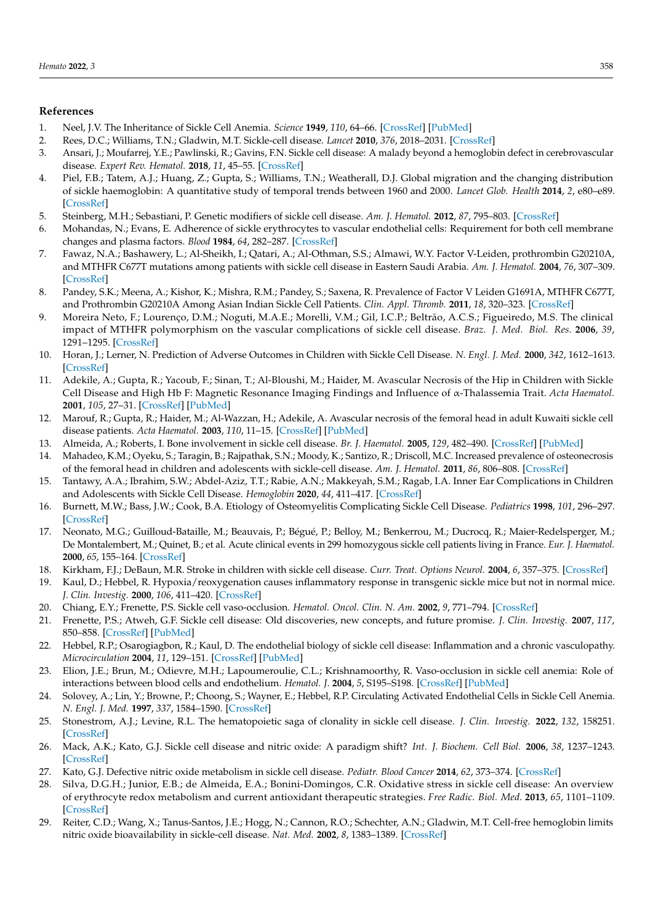# **References**

- <span id="page-17-0"></span>1. Neel, J.V. The Inheritance of Sickle Cell Anemia. *Science* **1949**, *110*, 64–66. [\[CrossRef\]](http://doi.org/10.1126/science.110.2846.64) [\[PubMed\]](http://www.ncbi.nlm.nih.gov/pubmed/17774955)
- <span id="page-17-1"></span>2. Rees, D.C.; Williams, T.N.; Gladwin, M.T. Sickle-cell disease. *Lancet* **2010**, *376*, 2018–2031. [\[CrossRef\]](http://doi.org/10.1016/S0140-6736(10)61029-X)
- <span id="page-17-2"></span>3. Ansari, J.; Moufarrej, Y.E.; Pawlinski, R.; Gavins, F.N. Sickle cell disease: A malady beyond a hemoglobin defect in cerebrovascular disease. *Expert Rev. Hematol.* **2018**, *11*, 45–55. [\[CrossRef\]](http://doi.org/10.1080/17474086.2018.1407240)
- <span id="page-17-3"></span>4. Piel, F.B.; Tatem, A.J.; Huang, Z.; Gupta, S.; Williams, T.N.; Weatherall, D.J. Global migration and the changing distribution of sickle haemoglobin: A quantitative study of temporal trends between 1960 and 2000. *Lancet Glob. Health* **2014**, *2*, e80–e89. [\[CrossRef\]](http://doi.org/10.1016/S2214-109X(13)70150-5)
- <span id="page-17-5"></span>5. Steinberg, M.H.; Sebastiani, P. Genetic modifiers of sickle cell disease. *Am. J. Hematol.* **2012**, *87*, 795–803. [\[CrossRef\]](http://doi.org/10.1002/ajh.23232)
- <span id="page-17-9"></span>6. Mohandas, N.; Evans, E. Adherence of sickle erythrocytes to vascular endothelial cells: Requirement for both cell membrane changes and plasma factors. *Blood* **1984**, *64*, 282–287. [\[CrossRef\]](http://doi.org/10.1182/blood.V64.1.282.282)
- 7. Fawaz, N.A.; Bashawery, L.; Al-Sheikh, I.; Qatari, A.; Al-Othman, S.S.; Almawi, W.Y. Factor V-Leiden, prothrombin G20210A, and MTHFR C677T mutations among patients with sickle cell disease in Eastern Saudi Arabia. *Am. J. Hematol.* **2004**, *76*, 307–309. [\[CrossRef\]](http://doi.org/10.1002/ajh.20087)
- 8. Pandey, S.K.; Meena, A.; Kishor, K.; Mishra, R.M.; Pandey, S.; Saxena, R. Prevalence of Factor V Leiden G1691A, MTHFR C677T, and Prothrombin G20210A Among Asian Indian Sickle Cell Patients. *Clin. Appl. Thromb.* **2011**, *18*, 320–323. [\[CrossRef\]](http://doi.org/10.1177/1076029611425830)
- <span id="page-17-4"></span>9. Moreira Neto, F.; Lourenço, D.M.; Noguti, M.A.E.; Morelli, V.M.; Gil, I.C.P.; Beltrão, A.C.S.; Figueiredo, M.S. The clinical impact of MTHFR polymorphism on the vascular complications of sickle cell disease. *Braz. J. Med. Biol. Res.* **2006**, *39*, 1291–1295. [\[CrossRef\]](http://doi.org/10.1590/S0100-879X2006001000004)
- <span id="page-17-6"></span>10. Horan, J.; Lerner, N. Prediction of Adverse Outcomes in Children with Sickle Cell Disease. *N. Engl. J. Med.* **2000**, *342*, 1612–1613. [\[CrossRef\]](http://doi.org/10.1056/nejm200005253422114)
- <span id="page-17-19"></span>11. Adekile, A.; Gupta, R.; Yacoub, F.; Sinan, T.; Al-Bloushi, M.; Haider, M. Avascular Necrosis of the Hip in Children with Sickle Cell Disease and High Hb F: Magnetic Resonance Imaging Findings and Influence of α-Thalassemia Trait. *Acta Haematol.* **2001**, *105*, 27–31. [\[CrossRef\]](http://doi.org/10.1159/000046529) [\[PubMed\]](http://www.ncbi.nlm.nih.gov/pubmed/11340250)
- 12. Marouf, R.; Gupta, R.; Haider, M.; Al-Wazzan, H.; Adekile, A. Avascular necrosis of the femoral head in adult Kuwaiti sickle cell disease patients. *Acta Haematol.* **2003**, *110*, 11–15. [\[CrossRef\]](http://doi.org/10.1159/000072406) [\[PubMed\]](http://www.ncbi.nlm.nih.gov/pubmed/12975550)
- <span id="page-17-17"></span>13. Almeida, A.; Roberts, I. Bone involvement in sickle cell disease. *Br. J. Haematol.* **2005**, *129*, 482–490. [\[CrossRef\]](http://doi.org/10.1111/j.1365-2141.2005.05476.x) [\[PubMed\]](http://www.ncbi.nlm.nih.gov/pubmed/15877730)
- <span id="page-17-18"></span>14. Mahadeo, K.M.; Oyeku, S.; Taragin, B.; Rajpathak, S.N.; Moody, K.; Santizo, R.; Driscoll, M.C. Increased prevalence of osteonecrosis of the femoral head in children and adolescents with sickle-cell disease. *Am. J. Hematol.* **2011**, *86*, 806–808. [\[CrossRef\]](http://doi.org/10.1002/ajh.22103)
- 15. Tantawy, A.A.; Ibrahim, S.W.; Abdel-Aziz, T.T.; Rabie, A.N.; Makkeyah, S.M.; Ragab, I.A. Inner Ear Complications in Children and Adolescents with Sickle Cell Disease. *Hemoglobin* **2020**, *44*, 411–417. [\[CrossRef\]](http://doi.org/10.1080/03630269.2020.1837863)
- <span id="page-17-16"></span>16. Burnett, M.W.; Bass, J.W.; Cook, B.A. Etiology of Osteomyelitis Complicating Sickle Cell Disease. *Pediatrics* **1998**, *101*, 296–297. [\[CrossRef\]](http://doi.org/10.1542/peds.101.2.296)
- 17. Neonato, M.G.; Guilloud-Bataille, M.; Beauvais, P.; Bégué, P.; Belloy, M.; Benkerrou, M.; Ducrocq, R.; Maier-Redelsperger, M.; De Montalembert, M.; Quinet, B.; et al. Acute clinical events in 299 homozygous sickle cell patients living in France. *Eur. J. Haematol.* **2000**, *65*, 155–164. [\[CrossRef\]](http://doi.org/10.1034/j.1600-0609.2000.90210.x)
- <span id="page-17-7"></span>18. Kirkham, F.J.; DeBaun, M.R. Stroke in children with sickle cell disease. *Curr. Treat. Options Neurol.* **2004**, *6*, 357–375. [\[CrossRef\]](http://doi.org/10.1007/s11940-996-0028-4)
- <span id="page-17-8"></span>19. Kaul, D.; Hebbel, R. Hypoxia/reoxygenation causes inflammatory response in transgenic sickle mice but not in normal mice. *J. Clin. Investig.* **2000**, *106*, 411–420. [\[CrossRef\]](http://doi.org/10.1172/JCI9225)
- 20. Chiang, E.Y.; Frenette, P.S. Sickle cell vaso-occlusion. *Hematol. Oncol. Clin. N. Am.* **2002**, *9*, 771–794. [\[CrossRef\]](http://doi.org/10.1016/j.hoc.2005.08.002)
- 21. Frenette, P.S.; Atweh, G.F. Sickle cell disease: Old discoveries, new concepts, and future promise. *J. Clin. Investig.* **2007**, *117*, 850–858. [\[CrossRef\]](http://doi.org/10.1172/JCI30920) [\[PubMed\]](http://www.ncbi.nlm.nih.gov/pubmed/17404610)
- 22. Hebbel, R.P.; Osarogiagbon, R.; Kaul, D. The endothelial biology of sickle cell disease: Inflammation and a chronic vasculopathy. *Microcirculation* **2004**, *11*, 129–151. [\[CrossRef\]](http://doi.org/10.1080/mic.11.2.129.151) [\[PubMed\]](http://www.ncbi.nlm.nih.gov/pubmed/15280088)
- 23. Elion, J.E.; Brun, M.; Odievre, M.H.; Lapoumeroulie, C.L.; Krishnamoorthy, R. Vaso-occlusion in sickle cell anemia: Role of interactions between blood cells and endothelium. *Hematol. J.* **2004**, *5*, S195–S198. [\[CrossRef\]](http://doi.org/10.1038/sj.thj.6200452) [\[PubMed\]](http://www.ncbi.nlm.nih.gov/pubmed/15190308)
- <span id="page-17-10"></span>24. Solovey, A.; Lin, Y.; Browne, P.; Choong, S.; Wayner, E.; Hebbel, R.P. Circulating Activated Endothelial Cells in Sickle Cell Anemia. *N. Engl. J. Med.* **1997**, *337*, 1584–1590. [\[CrossRef\]](http://doi.org/10.1056/NEJM199711273372203)
- <span id="page-17-11"></span>25. Stonestrom, A.J.; Levine, R.L. The hematopoietic saga of clonality in sickle cell disease. *J. Clin. Investig.* **2022**, *132*, 158251. [\[CrossRef\]](http://doi.org/10.1172/JCI158251)
- <span id="page-17-12"></span>26. Mack, A.K.; Kato, G.J. Sickle cell disease and nitric oxide: A paradigm shift? *Int. J. Biochem. Cell Biol.* **2006**, *38*, 1237–1243. [\[CrossRef\]](http://doi.org/10.1016/j.biocel.2006.01.010)
- <span id="page-17-13"></span>27. Kato, G.J. Defective nitric oxide metabolism in sickle cell disease. *Pediatr. Blood Cancer* **2014**, *62*, 373–374. [\[CrossRef\]](http://doi.org/10.1002/pbc.25297)
- <span id="page-17-15"></span>28. Silva, D.G.H.; Junior, E.B.; de Almeida, E.A.; Bonini-Domingos, C.R. Oxidative stress in sickle cell disease: An overview of erythrocyte redox metabolism and current antioxidant therapeutic strategies. *Free Radic. Biol. Med.* **2013**, *65*, 1101–1109. [\[CrossRef\]](http://doi.org/10.1016/j.freeradbiomed.2013.08.181)
- <span id="page-17-14"></span>29. Reiter, C.D.; Wang, X.; Tanus-Santos, J.E.; Hogg, N.; Cannon, R.O.; Schechter, A.N.; Gladwin, M.T. Cell-free hemoglobin limits nitric oxide bioavailability in sickle-cell disease. *Nat. Med.* **2002**, *8*, 1383–1389. [\[CrossRef\]](http://doi.org/10.1038/nm1202-799)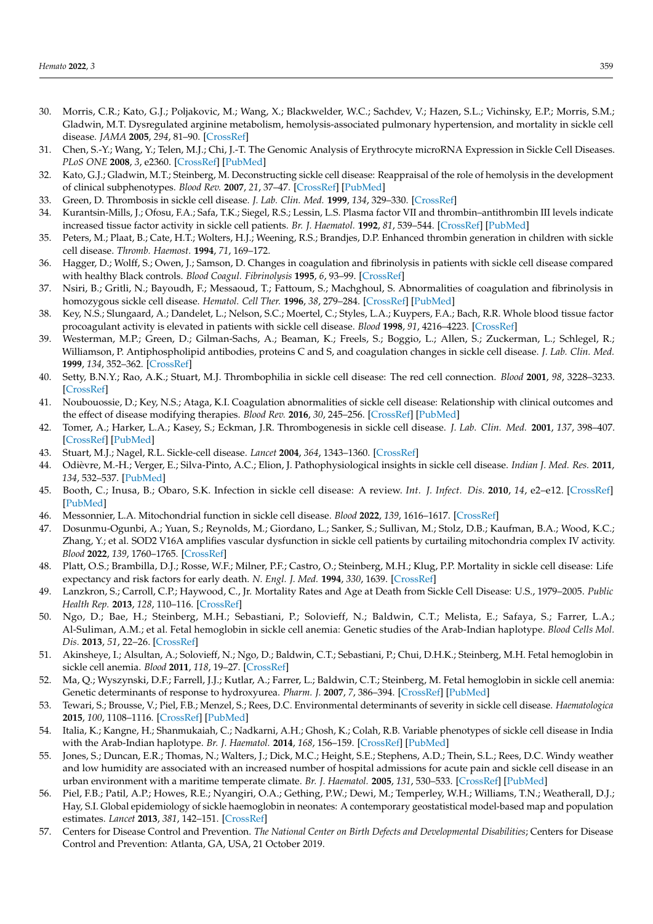- <span id="page-18-0"></span>30. Morris, C.R.; Kato, G.J.; Poljakovic, M.; Wang, X.; Blackwelder, W.C.; Sachdev, V.; Hazen, S.L.; Vichinsky, E.P.; Morris, S.M.; Gladwin, M.T. Dysregulated arginine metabolism, hemolysis-associated pulmonary hypertension, and mortality in sickle cell disease. *JAMA* **2005**, *294*, 81–90. [\[CrossRef\]](http://doi.org/10.1001/jama.294.1.81)
- <span id="page-18-1"></span>31. Chen, S.-Y.; Wang, Y.; Telen, M.J.; Chi, J.-T. The Genomic Analysis of Erythrocyte microRNA Expression in Sickle Cell Diseases. *PLoS ONE* **2008**, *3*, e2360. [\[CrossRef\]](http://doi.org/10.1371/journal.pone.0002360) [\[PubMed\]](http://www.ncbi.nlm.nih.gov/pubmed/18523662)
- <span id="page-18-2"></span>32. Kato, G.J.; Gladwin, M.T.; Steinberg, M. Deconstructing sickle cell disease: Reappraisal of the role of hemolysis in the development of clinical subphenotypes. *Blood Rev.* **2007**, *21*, 37–47. [\[CrossRef\]](http://doi.org/10.1016/j.blre.2006.07.001) [\[PubMed\]](http://www.ncbi.nlm.nih.gov/pubmed/17084951)
- <span id="page-18-3"></span>33. Green, D. Thrombosis in sickle cell disease. *J. Lab. Clin. Med.* **1999**, *134*, 329–330. [\[CrossRef\]](http://doi.org/10.1016/S0022-2143(99)90145-2)
- <span id="page-18-4"></span>34. Kurantsin-Mills, J.; Ofosu, F.A.; Safa, T.K.; Siegel, R.S.; Lessin, L.S. Plasma factor VII and thrombin–antithrombin III levels indicate increased tissue factor activity in sickle cell patients. *Br. J. Haematol.* **1992**, *81*, 539–544. [\[CrossRef\]](http://doi.org/10.1111/j.1365-2141.1992.tb02989.x) [\[PubMed\]](http://www.ncbi.nlm.nih.gov/pubmed/1390242)
- 35. Peters, M.; Plaat, B.; Cate, H.T.; Wolters, H.J.; Weening, R.S.; Brandjes, D.P. Enhanced thrombin generation in children with sickle cell disease. *Thromb. Haemost.* **1994**, *71*, 169–172.
- 36. Hagger, D.; Wolff, S.; Owen, J.; Samson, D. Changes in coagulation and fibrinolysis in patients with sickle cell disease compared with healthy Black controls. *Blood Coagul. Fibrinolysis* **1995**, *6*, 93–99. [\[CrossRef\]](http://doi.org/10.1097/00001721-199504000-00001)
- 37. Nsiri, B.; Gritli, N.; Bayoudh, F.; Messaoud, T.; Fattoum, S.; Machghoul, S. Abnormalities of coagulation and fibrinolysis in homozygous sickle cell disease. *Hematol. Cell Ther.* **1996**, *38*, 279–284. [\[CrossRef\]](http://doi.org/10.1007/s00282-996-0279-2) [\[PubMed\]](http://www.ncbi.nlm.nih.gov/pubmed/8974793)
- 38. Key, N.S.; Slungaard, A.; Dandelet, L.; Nelson, S.C.; Moertel, C.; Styles, L.A.; Kuypers, F.A.; Bach, R.R. Whole blood tissue factor procoagulant activity is elevated in patients with sickle cell disease. *Blood* **1998**, *91*, 4216–4223. [\[CrossRef\]](http://doi.org/10.1182/blood.V91.11.4216)
- 39. Westerman, M.P.; Green, D.; Gilman-Sachs, A.; Beaman, K.; Freels, S.; Boggio, L.; Allen, S.; Zuckerman, L.; Schlegel, R.; Williamson, P. Antiphospholipid antibodies, proteins C and S, and coagulation changes in sickle cell disease. *J. Lab. Clin. Med.* **1999**, *134*, 352–362. [\[CrossRef\]](http://doi.org/10.1016/S0022-2143(99)90149-X)
- 40. Setty, B.N.Y.; Rao, A.K.; Stuart, M.J. Thrombophilia in sickle cell disease: The red cell connection. *Blood* **2001**, *98*, 3228–3233. [\[CrossRef\]](http://doi.org/10.1182/blood.V98.12.3228)
- <span id="page-18-5"></span>41. Noubouossie, D.; Key, N.S.; Ataga, K.I. Coagulation abnormalities of sickle cell disease: Relationship with clinical outcomes and the effect of disease modifying therapies. *Blood Rev.* **2016**, *30*, 245–256. [\[CrossRef\]](http://doi.org/10.1016/j.blre.2015.12.003) [\[PubMed\]](http://www.ncbi.nlm.nih.gov/pubmed/26776344)
- <span id="page-18-6"></span>42. Tomer, A.; Harker, L.A.; Kasey, S.; Eckman, J.R. Thrombogenesis in sickle cell disease. *J. Lab. Clin. Med.* **2001**, *137*, 398–407. [\[CrossRef\]](http://doi.org/10.1067/mlc.2001.115450) [\[PubMed\]](http://www.ncbi.nlm.nih.gov/pubmed/11385360)
- <span id="page-18-7"></span>43. Stuart, M.J.; Nagel, R.L. Sickle-cell disease. *Lancet* **2004**, *364*, 1343–1360. [\[CrossRef\]](http://doi.org/10.1016/S0140-6736(04)17192-4)
- <span id="page-18-8"></span>44. Odièvre, M.-H.; Verger, E.; Silva-Pinto, A.C.; Elion, J. Pathophysiological insights in sickle cell disease. *Indian J. Med. Res.* **2011**, *134*, 532–537. [\[PubMed\]](http://www.ncbi.nlm.nih.gov/pubmed/22089617)
- <span id="page-18-9"></span>45. Booth, C.; Inusa, B.; Obaro, S.K. Infection in sickle cell disease: A review. *Int. J. Infect. Dis.* **2010**, *14*, e2–e12. [\[CrossRef\]](http://doi.org/10.1016/j.ijid.2009.03.010) [\[PubMed\]](http://www.ncbi.nlm.nih.gov/pubmed/19497774)
- <span id="page-18-10"></span>46. Messonnier, L.A. Mitochondrial function in sickle cell disease. *Blood* **2022**, *139*, 1616–1617. [\[CrossRef\]](http://doi.org/10.1182/blood.2021015216)
- 47. Dosunmu-Ogunbi, A.; Yuan, S.; Reynolds, M.; Giordano, L.; Sanker, S.; Sullivan, M.; Stolz, D.B.; Kaufman, B.A.; Wood, K.C.; Zhang, Y.; et al. SOD2 V16A amplifies vascular dysfunction in sickle cell patients by curtailing mitochondria complex IV activity. *Blood* **2022**, *139*, 1760–1765. [\[CrossRef\]](http://doi.org/10.1182/blood.2021013350)
- <span id="page-18-12"></span>48. Platt, O.S.; Brambilla, D.J.; Rosse, W.F.; Milner, P.F.; Castro, O.; Steinberg, M.H.; Klug, P.P. Mortality in sickle cell disease: Life expectancy and risk factors for early death. *N. Engl. J. Med.* **1994**, *330*, 1639. [\[CrossRef\]](http://doi.org/10.1056/NEJM199406093302303)
- <span id="page-18-11"></span>49. Lanzkron, S.; Carroll, C.P.; Haywood, C., Jr. Mortality Rates and Age at Death from Sickle Cell Disease: U.S., 1979–2005. *Public Health Rep.* **2013**, *128*, 110–116. [\[CrossRef\]](http://doi.org/10.1177/003335491312800206)
- <span id="page-18-13"></span>50. Ngo, D.; Bae, H.; Steinberg, M.H.; Sebastiani, P.; Solovieff, N.; Baldwin, C.T.; Melista, E.; Safaya, S.; Farrer, L.A.; Al-Suliman, A.M.; et al. Fetal hemoglobin in sickle cell anemia: Genetic studies of the Arab-Indian haplotype. *Blood Cells Mol. Dis.* **2013**, *51*, 22–26. [\[CrossRef\]](http://doi.org/10.1016/j.bcmd.2012.12.005)
- 51. Akinsheye, I.; Alsultan, A.; Solovieff, N.; Ngo, D.; Baldwin, C.T.; Sebastiani, P.; Chui, D.H.K.; Steinberg, M.H. Fetal hemoglobin in sickle cell anemia. *Blood* **2011**, *118*, 19–27. [\[CrossRef\]](http://doi.org/10.1182/blood-2011-03-325258)
- 52. Ma, Q.; Wyszynski, D.F.; Farrell, J.J.; Kutlar, A.; Farrer, L.; Baldwin, C.T.; Steinberg, M. Fetal hemoglobin in sickle cell anemia: Genetic determinants of response to hydroxyurea. *Pharm. J.* **2007**, *7*, 386–394. [\[CrossRef\]](http://doi.org/10.1038/sj.tpj.6500433) [\[PubMed\]](http://www.ncbi.nlm.nih.gov/pubmed/17299377)
- 53. Tewari, S.; Brousse, V.; Piel, F.B.; Menzel, S.; Rees, D.C. Environmental determinants of severity in sickle cell disease. *Haematologica* **2015**, *100*, 1108–1116. [\[CrossRef\]](http://doi.org/10.3324/haematol.2014.120030) [\[PubMed\]](http://www.ncbi.nlm.nih.gov/pubmed/26341524)
- 54. Italia, K.; Kangne, H.; Shanmukaiah, C.; Nadkarni, A.H.; Ghosh, K.; Colah, R.B. Variable phenotypes of sickle cell disease in India with the Arab-Indian haplotype. *Br. J. Haematol.* **2014**, *168*, 156–159. [\[CrossRef\]](http://doi.org/10.1111/bjh.13083) [\[PubMed\]](http://www.ncbi.nlm.nih.gov/pubmed/25135424)
- <span id="page-18-14"></span>55. Jones, S.; Duncan, E.R.; Thomas, N.; Walters, J.; Dick, M.C.; Height, S.E.; Stephens, A.D.; Thein, S.L.; Rees, D.C. Windy weather and low humidity are associated with an increased number of hospital admissions for acute pain and sickle cell disease in an urban environment with a maritime temperate climate. *Br. J. Haematol.* **2005**, *131*, 530–533. [\[CrossRef\]](http://doi.org/10.1111/j.1365-2141.2005.05799.x) [\[PubMed\]](http://www.ncbi.nlm.nih.gov/pubmed/16281945)
- <span id="page-18-15"></span>56. Piel, F.B.; Patil, A.P.; Howes, R.E.; Nyangiri, O.A.; Gething, P.W.; Dewi, M.; Temperley, W.H.; Williams, T.N.; Weatherall, D.J.; Hay, S.I. Global epidemiology of sickle haemoglobin in neonates: A contemporary geostatistical model-based map and population estimates. *Lancet* **2013**, *381*, 142–151. [\[CrossRef\]](http://doi.org/10.1016/S0140-6736(12)61229-X)
- <span id="page-18-16"></span>57. Centers for Disease Control and Prevention. *The National Center on Birth Defects and Developmental Disabilities*; Centers for Disease Control and Prevention: Atlanta, GA, USA, 21 October 2019.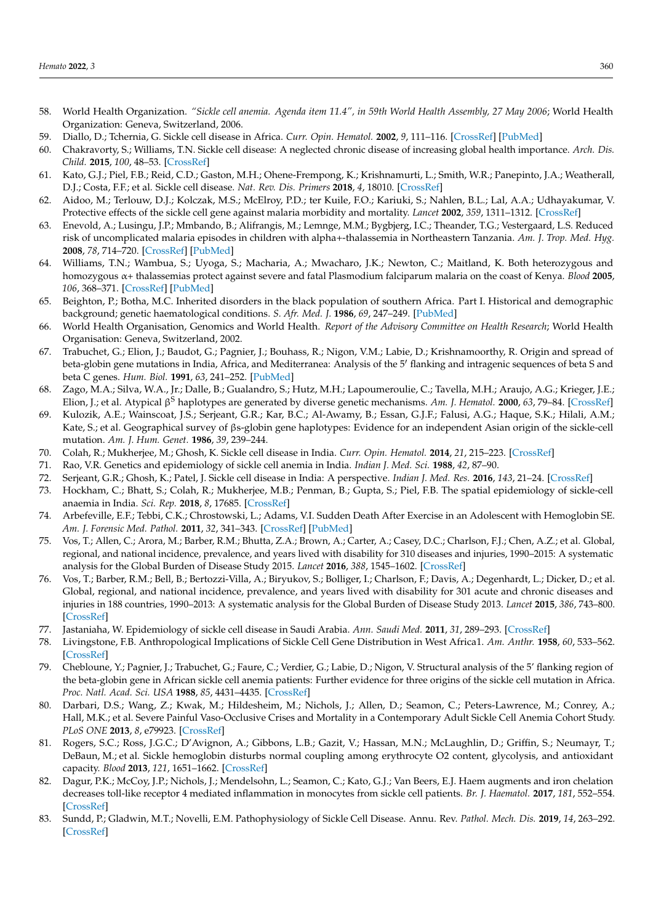- <span id="page-19-11"></span>58. World Health Organization. *"Sickle cell anemia. Agenda item 11.4", in 59th World Health Assembly, 27 May 2006*; World Health Organization: Geneva, Switzerland, 2006.
- 59. Diallo, D.; Tchernia, G. Sickle cell disease in Africa. *Curr. Opin. Hematol.* **2002**, *9*, 111–116. [\[CrossRef\]](http://doi.org/10.1097/00062752-200203000-00005) [\[PubMed\]](http://www.ncbi.nlm.nih.gov/pubmed/11844993)
- <span id="page-19-9"></span>60. Chakravorty, S.; Williams, T.N. Sickle cell disease: A neglected chronic disease of increasing global health importance. *Arch. Dis. Child.* **2015**, *100*, 48–53. [\[CrossRef\]](http://doi.org/10.1136/archdischild-2013-303773)
- <span id="page-19-10"></span>61. Kato, G.J.; Piel, F.B.; Reid, C.D.; Gaston, M.H.; Ohene-Frempong, K.; Krishnamurti, L.; Smith, W.R.; Panepinto, J.A.; Weatherall, D.J.; Costa, F.F.; et al. Sickle cell disease. *Nat. Rev. Dis. Primers* **2018**, *4*, 18010. [\[CrossRef\]](http://doi.org/10.1038/nrdp.2018.10)
- <span id="page-19-14"></span>62. Aidoo, M.; Terlouw, D.J.; Kolczak, M.S.; McElroy, P.D.; ter Kuile, F.O.; Kariuki, S.; Nahlen, B.L.; Lal, A.A.; Udhayakumar, V. Protective effects of the sickle cell gene against malaria morbidity and mortality. *Lancet* **2002**, *359*, 1311–1312. [\[CrossRef\]](http://doi.org/10.1016/S0140-6736(02)08273-9)
- 63. Enevold, A.; Lusingu, J.P.; Mmbando, B.; Alifrangis, M.; Lemnge, M.M.; Bygbjerg, I.C.; Theander, T.G.; Vestergaard, L.S. Reduced risk of uncomplicated malaria episodes in children with alpha+-thalassemia in Northeastern Tanzania. *Am. J. Trop. Med. Hyg.* **2008**, *78*, 714–720. [\[CrossRef\]](http://doi.org/10.4269/ajtmh.2008.78.714) [\[PubMed\]](http://www.ncbi.nlm.nih.gov/pubmed/18458302)
- <span id="page-19-15"></span>64. Williams, T.N.; Wambua, S.; Uyoga, S.; Macharia, A.; Mwacharo, J.K.; Newton, C.; Maitland, K. Both heterozygous and homozygous α+ thalassemias protect against severe and fatal Plasmodium falciparum malaria on the coast of Kenya. *Blood* **2005**, *106*, 368–371. [\[CrossRef\]](http://doi.org/10.1182/blood-2005-01-0313) [\[PubMed\]](http://www.ncbi.nlm.nih.gov/pubmed/15769889)
- <span id="page-19-16"></span>65. Beighton, P.; Botha, M.C. Inherited disorders in the black population of southern Africa. Part I. Historical and demographic background; genetic haematological conditions. *S. Afr. Med. J.* **1986**, *69*, 247–249. [\[PubMed\]](http://www.ncbi.nlm.nih.gov/pubmed/3485313)
- <span id="page-19-0"></span>66. World Health Organisation, Genomics and World Health. *Report of the Advisory Committee on Health Research*; World Health Organisation: Geneva, Switzerland, 2002.
- <span id="page-19-1"></span>67. Trabuchet, G.; Elion, J.; Baudot, G.; Pagnier, J.; Bouhass, R.; Nigon, V.M.; Labie, D.; Krishnamoorthy, R. Origin and spread of beta-globin gene mutations in India, Africa, and Mediterranea: Analysis of the 5<sup>'</sup> flanking and intragenic sequences of beta S and beta C genes. *Hum. Biol.* **1991**, *63*, 241–252. [\[PubMed\]](http://www.ncbi.nlm.nih.gov/pubmed/1676014)
- <span id="page-19-2"></span>68. Zago, M.A.; Silva, W.A., Jr.; Dalle, B.; Gualandro, S.; Hutz, M.H.; Lapoumeroulie, C.; Tavella, M.H.; Araujo, A.G.; Krieger, J.E.; Elion, J.; et al. Atypical β <sup>S</sup> haplotypes are generated by diverse genetic mechanisms. *Am. J. Hematol.* **2000**, *63*, 79–84. [\[CrossRef\]](http://doi.org/10.1002/(SICI)1096-8652(200002)63:2<79::AID-AJH4>3.0.CO;2-D)
- <span id="page-19-3"></span>69. Kulozik, A.E.; Wainscoat, J.S.; Serjeant, G.R.; Kar, B.C.; Al-Awamy, B.; Essan, G.J.F.; Falusi, A.G.; Haque, S.K.; Hilali, A.M.; Kate, S.; et al. Geographical survey of βs-globin gene haplotypes: Evidence for an independent Asian origin of the sickle-cell mutation. *Am. J. Hum. Genet.* **1986**, *39*, 239–244.
- <span id="page-19-4"></span>70. Colah, R.; Mukherjee, M.; Ghosh, K. Sickle cell disease in India. *Curr. Opin. Hematol.* **2014**, *21*, 215–223. [\[CrossRef\]](http://doi.org/10.1097/MOH.0000000000000029)
- 71. Rao, V.R. Genetics and epidemiology of sickle cell anemia in India. *Indian J. Med. Sci.* **1988**, *42*, 87–90.
- <span id="page-19-5"></span>72. Serjeant, G.R.; Ghosh, K.; Patel, J. Sickle cell disease in India: A perspective. *Indian J. Med. Res.* **2016**, *143*, 21–24. [\[CrossRef\]](http://doi.org/10.4103/0971-5916.178582)
- <span id="page-19-6"></span>73. Hockham, C.; Bhatt, S.; Colah, R.; Mukherjee, M.B.; Penman, B.; Gupta, S.; Piel, F.B. The spatial epidemiology of sickle-cell anaemia in India. *Sci. Rep.* **2018**, *8*, 17685. [\[CrossRef\]](http://doi.org/10.1038/s41598-018-36077-w)
- 74. Arbefeville, E.F.; Tebbi, C.K.; Chrostowski, L.; Adams, V.I. Sudden Death After Exercise in an Adolescent with Hemoglobin SE. *Am. J. Forensic Med. Pathol.* **2011**, *32*, 341–343. [\[CrossRef\]](http://doi.org/10.1097/PAF.0b013e3181d8e390) [\[PubMed\]](http://www.ncbi.nlm.nih.gov/pubmed/22101436)
- <span id="page-19-7"></span>75. Vos, T.; Allen, C.; Arora, M.; Barber, R.M.; Bhutta, Z.A.; Brown, A.; Carter, A.; Casey, D.C.; Charlson, F.J.; Chen, A.Z.; et al. Global, regional, and national incidence, prevalence, and years lived with disability for 310 diseases and injuries, 1990–2015: A systematic analysis for the Global Burden of Disease Study 2015. *Lancet* **2016**, *388*, 1545–1602. [\[CrossRef\]](http://doi.org/10.1016/S0140-6736(16)31678-6)
- <span id="page-19-8"></span>76. Vos, T.; Barber, R.M.; Bell, B.; Bertozzi-Villa, A.; Biryukov, S.; Bolliger, I.; Charlson, F.; Davis, A.; Degenhardt, L.; Dicker, D.; et al. Global, regional, and national incidence, prevalence, and years lived with disability for 301 acute and chronic diseases and injuries in 188 countries, 1990–2013: A systematic analysis for the Global Burden of Disease Study 2013. *Lancet* **2015**, *386*, 743–800. [\[CrossRef\]](http://doi.org/10.1016/S0140-6736(15)60692-4)
- <span id="page-19-12"></span>77. Jastaniaha, W. Epidemiology of sickle cell disease in Saudi Arabia. *Ann. Saudi Med.* **2011**, *31*, 289–293. [\[CrossRef\]](http://doi.org/10.4103/0256-4947.81540)
- 78. Livingstone, F.B. Anthropological Implications of Sickle Cell Gene Distribution in West Africa1. *Am. Anthr.* **1958**, *60*, 533–562. [\[CrossRef\]](http://doi.org/10.1525/aa.1958.60.3.02a00110)
- 79. Chebloune, Y.; Pagnier, J.; Trabuchet, G.; Faure, C.; Verdier, G.; Labie, D.; Nigon, V. Structural analysis of the 5' flanking region of the beta-globin gene in African sickle cell anemia patients: Further evidence for three origins of the sickle cell mutation in Africa. *Proc. Natl. Acad. Sci. USA* **1988**, *85*, 4431–4435. [\[CrossRef\]](http://doi.org/10.1073/pnas.85.12.4431)
- <span id="page-19-13"></span>80. Darbari, D.S.; Wang, Z.; Kwak, M.; Hildesheim, M.; Nichols, J.; Allen, D.; Seamon, C.; Peters-Lawrence, M.; Conrey, A.; Hall, M.K.; et al. Severe Painful Vaso-Occlusive Crises and Mortality in a Contemporary Adult Sickle Cell Anemia Cohort Study. *PLoS ONE* **2013**, *8*, e79923. [\[CrossRef\]](http://doi.org/10.1371/journal.pone.0079923)
- <span id="page-19-17"></span>81. Rogers, S.C.; Ross, J.G.C.; D'Avignon, A.; Gibbons, L.B.; Gazit, V.; Hassan, M.N.; McLaughlin, D.; Griffin, S.; Neumayr, T.; DeBaun, M.; et al. Sickle hemoglobin disturbs normal coupling among erythrocyte O2 content, glycolysis, and antioxidant capacity. *Blood* **2013**, *121*, 1651–1662. [\[CrossRef\]](http://doi.org/10.1182/blood-2012-02-414037)
- <span id="page-19-18"></span>82. Dagur, P.K.; McCoy, J.P.; Nichols, J.; Mendelsohn, L.; Seamon, C.; Kato, G.J.; Van Beers, E.J. Haem augments and iron chelation decreases toll-like receptor 4 mediated inflammation in monocytes from sickle cell patients. *Br. J. Haematol.* **2017**, *181*, 552–554. [\[CrossRef\]](http://doi.org/10.1111/bjh.14663)
- <span id="page-19-19"></span>83. Sundd, P.; Gladwin, M.T.; Novelli, E.M. Pathophysiology of Sickle Cell Disease. Annu. Rev. *Pathol. Mech. Dis.* **2019**, *14*, 263–292. [\[CrossRef\]](http://doi.org/10.1146/annurev-pathmechdis-012418-012838)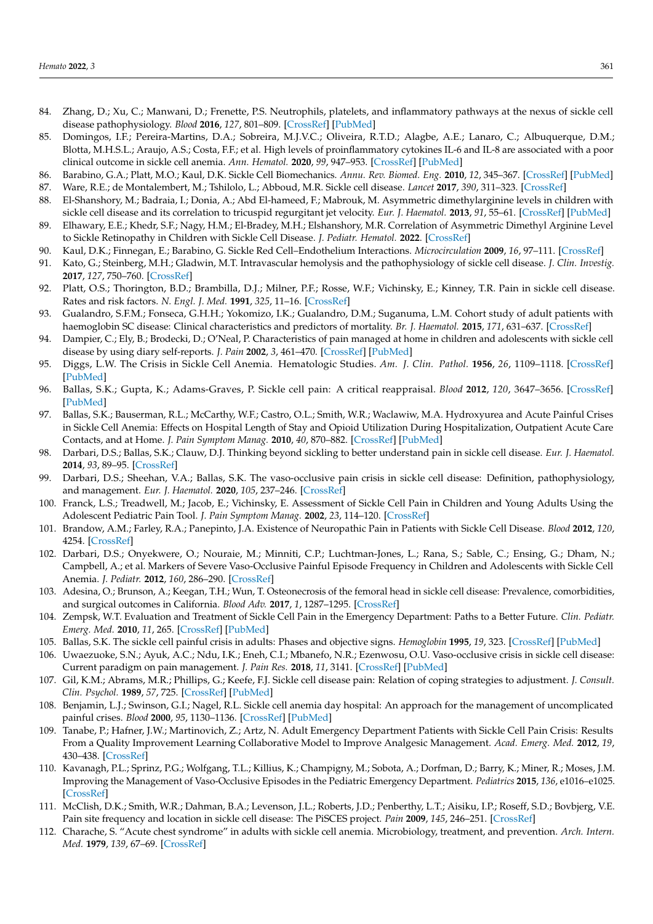- <span id="page-20-0"></span>84. Zhang, D.; Xu, C.; Manwani, D.; Frenette, P.S. Neutrophils, platelets, and inflammatory pathways at the nexus of sickle cell disease pathophysiology. *Blood* **2016**, *127*, 801–809. [\[CrossRef\]](http://doi.org/10.1182/blood-2015-09-618538) [\[PubMed\]](http://www.ncbi.nlm.nih.gov/pubmed/26758915)
- <span id="page-20-1"></span>85. Domingos, I.F.; Pereira-Martins, D.A.; Sobreira, M.J.V.C.; Oliveira, R.T.D.; Alagbe, A.E.; Lanaro, C.; Albuquerque, D.M.; Blotta, M.H.S.L.; Araujo, A.S.; Costa, F.F.; et al. High levels of proinflammatory cytokines IL-6 and IL-8 are associated with a poor clinical outcome in sickle cell anemia. *Ann. Hematol.* **2020**, *99*, 947–953. [\[CrossRef\]](http://doi.org/10.1007/s00277-020-03978-8) [\[PubMed\]](http://www.ncbi.nlm.nih.gov/pubmed/32140892)
- <span id="page-20-2"></span>86. Barabino, G.A.; Platt, M.O.; Kaul, D.K. Sickle Cell Biomechanics. *Annu. Rev. Biomed. Eng.* **2010**, *12*, 345–367. [\[CrossRef\]](http://doi.org/10.1146/annurev-bioeng-070909-105339) [\[PubMed\]](http://www.ncbi.nlm.nih.gov/pubmed/20455701)
- <span id="page-20-3"></span>87. Ware, R.E.; de Montalembert, M.; Tshilolo, L.; Abboud, M.R. Sickle cell disease. *Lancet* **2017**, *390*, 311–323. [\[CrossRef\]](http://doi.org/10.1016/S0140-6736(17)30193-9)
- <span id="page-20-4"></span>88. El-Shanshory, M.; Badraia, I.; Donia, A.; Abd El-hameed, F.; Mabrouk, M. Asymmetric dimethylarginine levels in children with sickle cell disease and its correlation to tricuspid regurgitant jet velocity. *Eur. J. Haematol.* **2013**, *91*, 55–61. [\[CrossRef\]](http://doi.org/10.1111/ejh.12114) [\[PubMed\]](http://www.ncbi.nlm.nih.gov/pubmed/23551575)
- <span id="page-20-5"></span>89. Elhawary, E.E.; Khedr, S.F.; Nagy, H.M.; El-Bradey, M.H.; Elshanshory, M.R. Correlation of Asymmetric Dimethyl Arginine Level to Sickle Retinopathy in Children with Sickle Cell Disease. *J. Pediatr. Hematol.* **2022**. [\[CrossRef\]](http://doi.org/10.1097/MPH.0000000000002435)
- <span id="page-20-6"></span>90. Kaul, D.K.; Finnegan, E.; Barabino, G. Sickle Red Cell–Endothelium Interactions. *Microcirculation* **2009**, *16*, 97–111. [\[CrossRef\]](http://doi.org/10.1080/10739680802279394)
- <span id="page-20-7"></span>91. Kato, G.; Steinberg, M.H.; Gladwin, M.T. Intravascular hemolysis and the pathophysiology of sickle cell disease. *J. Clin. Investig.* **2017**, *127*, 750–760. [\[CrossRef\]](http://doi.org/10.1172/JCI89741)
- <span id="page-20-8"></span>92. Platt, O.S.; Thorington, B.D.; Brambilla, D.J.; Milner, P.F.; Rosse, W.F.; Vichinsky, E.; Kinney, T.R. Pain in sickle cell disease. Rates and risk factors. *N. Engl. J. Med.* **1991**, *325*, 11–16. [\[CrossRef\]](http://doi.org/10.1056/NEJM199107043250103)
- <span id="page-20-15"></span>93. Gualandro, S.F.M.; Fonseca, G.H.H.; Yokomizo, I.K.; Gualandro, D.M.; Suganuma, L.M. Cohort study of adult patients with haemoglobin SC disease: Clinical characteristics and predictors of mortality. *Br. J. Haematol.* **2015**, *171*, 631–637. [\[CrossRef\]](http://doi.org/10.1111/bjh.13625)
- <span id="page-20-14"></span>94. Dampier, C.; Ely, B.; Brodecki, D.; O'Neal, P. Characteristics of pain managed at home in children and adolescents with sickle cell disease by using diary self-reports. *J. Pain* **2002**, *3*, 461–470. [\[CrossRef\]](http://doi.org/10.1054/jpai.2002.128064) [\[PubMed\]](http://www.ncbi.nlm.nih.gov/pubmed/14622732)
- <span id="page-20-16"></span>95. Diggs, L.W. The Crisis in Sickle Cell Anemia. Hematologic Studies. *Am. J. Clin. Pathol.* **1956**, *26*, 1109–1118. [\[CrossRef\]](http://doi.org/10.1093/ajcp/26.10.1109) [\[PubMed\]](http://www.ncbi.nlm.nih.gov/pubmed/13362165)
- <span id="page-20-17"></span>96. Ballas, S.K.; Gupta, K.; Adams-Graves, P. Sickle cell pain: A critical reappraisal. *Blood* **2012**, *120*, 3647–3656. [\[CrossRef\]](http://doi.org/10.1182/blood-2012-04-383430) [\[PubMed\]](http://www.ncbi.nlm.nih.gov/pubmed/22923496)
- <span id="page-20-10"></span>97. Ballas, S.K.; Bauserman, R.L.; McCarthy, W.F.; Castro, O.L.; Smith, W.R.; Waclawiw, M.A. Hydroxyurea and Acute Painful Crises in Sickle Cell Anemia: Effects on Hospital Length of Stay and Opioid Utilization During Hospitalization, Outpatient Acute Care Contacts, and at Home. *J. Pain Symptom Manag.* **2010**, *40*, 870–882. [\[CrossRef\]](http://doi.org/10.1016/j.jpainsymman.2010.03.020) [\[PubMed\]](http://www.ncbi.nlm.nih.gov/pubmed/20864308)
- 98. Darbari, D.S.; Ballas, S.K.; Clauw, D.J. Thinking beyond sickling to better understand pain in sickle cell disease. *Eur. J. Haematol.* **2014**, *93*, 89–95. [\[CrossRef\]](http://doi.org/10.1111/ejh.12340)
- <span id="page-20-18"></span>99. Darbari, D.S.; Sheehan, V.A.; Ballas, S.K. The vaso-occlusive pain crisis in sickle cell disease: Definition, pathophysiology, and management. *Eur. J. Haematol.* **2020**, *105*, 237–246. [\[CrossRef\]](http://doi.org/10.1111/ejh.13430)
- 100. Franck, L.S.; Treadwell, M.; Jacob, E.; Vichinsky, E. Assessment of Sickle Cell Pain in Children and Young Adults Using the Adolescent Pediatric Pain Tool. *J. Pain Symptom Manag.* **2002**, *23*, 114–120. [\[CrossRef\]](http://doi.org/10.1016/S0885-3924(01)00407-9)
- 101. Brandow, A.M.; Farley, R.A.; Panepinto, J.A. Existence of Neuropathic Pain in Patients with Sickle Cell Disease. *Blood* **2012**, *120*, 4254. [\[CrossRef\]](http://doi.org/10.1182/blood.V120.21.4254.4254)
- <span id="page-20-13"></span>102. Darbari, D.S.; Onyekwere, O.; Nouraie, M.; Minniti, C.P.; Luchtman-Jones, L.; Rana, S.; Sable, C.; Ensing, G.; Dham, N.; Campbell, A.; et al. Markers of Severe Vaso-Occlusive Painful Episode Frequency in Children and Adolescents with Sickle Cell Anemia. *J. Pediatr.* **2012**, *160*, 286–290. [\[CrossRef\]](http://doi.org/10.1016/j.jpeds.2011.07.018)
- <span id="page-20-9"></span>103. Adesina, O.; Brunson, A.; Keegan, T.H.; Wun, T. Osteonecrosis of the femoral head in sickle cell disease: Prevalence, comorbidities, and surgical outcomes in California. *Blood Adv.* **2017**, *1*, 1287–1295. [\[CrossRef\]](http://doi.org/10.1182/bloodadvances.2017005256)
- <span id="page-20-11"></span>104. Zempsk, W.T. Evaluation and Treatment of Sickle Cell Pain in the Emergency Department: Paths to a Better Future. *Clin. Pediatr. Emerg. Med.* **2010**, *11*, 265. [\[CrossRef\]](http://doi.org/10.1016/j.cpem.2010.09.002) [\[PubMed\]](http://www.ncbi.nlm.nih.gov/pubmed/21499553)
- 105. Ballas, S.K. The sickle cell painful crisis in adults: Phases and objective signs. *Hemoglobin* **1995**, *19*, 323. [\[CrossRef\]](http://doi.org/10.3109/03630269509005824) [\[PubMed\]](http://www.ncbi.nlm.nih.gov/pubmed/8718691)
- 106. Uwaezuoke, S.N.; Ayuk, A.C.; Ndu, I.K.; Eneh, C.I.; Mbanefo, N.R.; Ezenwosu, O.U. Vaso-occlusive crisis in sickle cell disease: Current paradigm on pain management. *J. Pain Res.* **2018**, *11*, 3141. [\[CrossRef\]](http://doi.org/10.2147/JPR.S185582) [\[PubMed\]](http://www.ncbi.nlm.nih.gov/pubmed/30588066)
- 107. Gil, K.M.; Abrams, M.R.; Phillips, G.; Keefe, F.J. Sickle cell disease pain: Relation of coping strategies to adjustment. *J. Consult. Clin. Psychol.* **1989**, *57*, 725. [\[CrossRef\]](http://doi.org/10.1037/0022-006X.57.6.725) [\[PubMed\]](http://www.ncbi.nlm.nih.gov/pubmed/2600243)
- 108. Benjamin, L.J.; Swinson, G.I.; Nagel, R.L. Sickle cell anemia day hospital: An approach for the management of uncomplicated painful crises. *Blood* **2000**, *95*, 1130–1136. [\[CrossRef\]](http://doi.org/10.1182/blood.V95.4.1130.003k03a_1130_1136) [\[PubMed\]](http://www.ncbi.nlm.nih.gov/pubmed/10666181)
- 109. Tanabe, P.; Hafner, J.W.; Martinovich, Z.; Artz, N. Adult Emergency Department Patients with Sickle Cell Pain Crisis: Results From a Quality Improvement Learning Collaborative Model to Improve Analgesic Management. *Acad. Emerg. Med.* **2012**, *19*, 430–438. [\[CrossRef\]](http://doi.org/10.1111/j.1553-2712.2012.01330.x)
- <span id="page-20-12"></span>110. Kavanagh, P.L.; Sprinz, P.G.; Wolfgang, T.L.; Killius, K.; Champigny, M.; Sobota, A.; Dorfman, D.; Barry, K.; Miner, R.; Moses, J.M. Improving the Management of Vaso-Occlusive Episodes in the Pediatric Emergency Department. *Pediatrics* **2015**, *136*, e1016–e1025. [\[CrossRef\]](http://doi.org/10.1542/peds.2014-3470)
- <span id="page-20-19"></span>111. McClish, D.K.; Smith, W.R.; Dahman, B.A.; Levenson, J.L.; Roberts, J.D.; Penberthy, L.T.; Aisiku, I.P.; Roseff, S.D.; Bovbjerg, V.E. Pain site frequency and location in sickle cell disease: The PiSCES project. *Pain* **2009**, *145*, 246–251. [\[CrossRef\]](http://doi.org/10.1016/j.pain.2009.06.029)
- <span id="page-20-20"></span>112. Charache, S. "Acute chest syndrome" in adults with sickle cell anemia. Microbiology, treatment, and prevention. *Arch. Intern. Med.* **1979**, *139*, 67–69. [\[CrossRef\]](http://doi.org/10.1001/archinte.1979.03630380047016)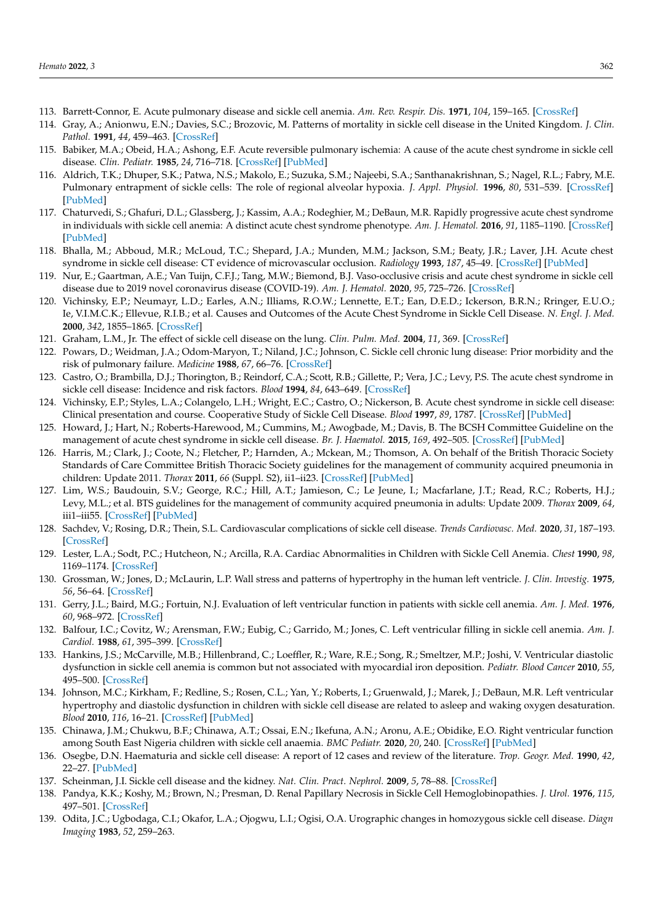- <span id="page-21-1"></span>113. Barrett-Connor, E. Acute pulmonary disease and sickle cell anemia. *Am. Rev. Respir. Dis.* **1971**, *104*, 159–165. [\[CrossRef\]](http://doi.org/10.1164/arrd.1971.104.2.159)
- 114. Gray, A.; Anionwu, E.N.; Davies, S.C.; Brozovic, M. Patterns of mortality in sickle cell disease in the United Kingdom. *J. Clin. Pathol.* **1991**, *44*, 459–463. [\[CrossRef\]](http://doi.org/10.1136/jcp.44.6.459)
- 115. Babiker, M.A.; Obeid, H.A.; Ashong, E.F. Acute reversible pulmonary ischemia: A cause of the acute chest syndrome in sickle cell disease. *Clin. Pediatr.* **1985**, *24*, 716–718. [\[CrossRef\]](http://doi.org/10.1177/000992288502401209) [\[PubMed\]](http://www.ncbi.nlm.nih.gov/pubmed/4064460)
- 116. Aldrich, T.K.; Dhuper, S.K.; Patwa, N.S.; Makolo, E.; Suzuka, S.M.; Najeebi, S.A.; Santhanakrishnan, S.; Nagel, R.L.; Fabry, M.E. Pulmonary entrapment of sickle cells: The role of regional alveolar hypoxia. *J. Appl. Physiol.* **1996**, *80*, 531–539. [\[CrossRef\]](http://doi.org/10.1152/jappl.1996.80.2.531) [\[PubMed\]](http://www.ncbi.nlm.nih.gov/pubmed/8929595)
- <span id="page-21-2"></span>117. Chaturvedi, S.; Ghafuri, D.L.; Glassberg, J.; Kassim, A.A.; Rodeghier, M.; DeBaun, M.R. Rapidly progressive acute chest syndrome in individuals with sickle cell anemia: A distinct acute chest syndrome phenotype. *Am. J. Hematol.* **2016**, *91*, 1185–1190. [\[CrossRef\]](http://doi.org/10.1002/ajh.24539) [\[PubMed\]](http://www.ncbi.nlm.nih.gov/pubmed/27543812)
- <span id="page-21-4"></span>118. Bhalla, M.; Abboud, M.R.; McLoud, T.C.; Shepard, J.A.; Munden, M.M.; Jackson, S.M.; Beaty, J.R.; Laver, J.H. Acute chest syndrome in sickle cell disease: CT evidence of microvascular occlusion. *Radiology* **1993**, *187*, 45–49. [\[CrossRef\]](http://doi.org/10.1148/radiology.187.1.8451435) [\[PubMed\]](http://www.ncbi.nlm.nih.gov/pubmed/8451435)
- <span id="page-21-5"></span>119. Nur, E.; Gaartman, A.E.; Van Tuijn, C.F.J.; Tang, M.W.; Biemond, B.J. Vaso-occlusive crisis and acute chest syndrome in sickle cell disease due to 2019 novel coronavirus disease (COVID-19). *Am. J. Hematol.* **2020**, *95*, 725–726. [\[CrossRef\]](http://doi.org/10.1002/ajh.25821)
- <span id="page-21-6"></span>120. Vichinsky, E.P.; Neumayr, L.D.; Earles, A.N.; Illiams, R.O.W.; Lennette, E.T.; Ean, D.E.D.; Ickerson, B.R.N.; Rringer, E.U.O.; Ie, V.I.M.C.K.; Ellevue, R.I.B.; et al. Causes and Outcomes of the Acute Chest Syndrome in Sickle Cell Disease. *N. Engl. J. Med.* **2000**, *342*, 1855–1865. [\[CrossRef\]](http://doi.org/10.1056/NEJM200006223422502)
- <span id="page-21-7"></span>121. Graham, L.M., Jr. The effect of sickle cell disease on the lung. *Clin. Pulm. Med.* **2004**, *11*, 369. [\[CrossRef\]](http://doi.org/10.1097/01.cpm.0000140181.02195.b7)
- 122. Powars, D.; Weidman, J.A.; Odom-Maryon, T.; Niland, J.C.; Johnson, C. Sickle cell chronic lung disease: Prior morbidity and the risk of pulmonary failure. *Medicine* **1988**, *67*, 66–76. [\[CrossRef\]](http://doi.org/10.1097/00005792-198801000-00005)
- 123. Castro, O.; Brambilla, D.J.; Thorington, B.; Reindorf, C.A.; Scott, R.B.; Gillette, P.; Vera, J.C.; Levy, P.S. The acute chest syndrome in sickle cell disease: Incidence and risk factors. *Blood* **1994**, *84*, 643–649. [\[CrossRef\]](http://doi.org/10.1182/blood.V84.2.643.643)
- <span id="page-21-3"></span>124. Vichinsky, E.P.; Styles, L.A.; Colangelo, L.H.; Wright, E.C.; Castro, O.; Nickerson, B. Acute chest syndrome in sickle cell disease: Clinical presentation and course. Cooperative Study of Sickle Cell Disease. *Blood* **1997**, *89*, 1787. [\[CrossRef\]](http://doi.org/10.1182/blood.V89.5.1787) [\[PubMed\]](http://www.ncbi.nlm.nih.gov/pubmed/9057664)
- <span id="page-21-0"></span>125. Howard, J.; Hart, N.; Roberts-Harewood, M.; Cummins, M.; Awogbade, M.; Davis, B. The BCSH Committee Guideline on the management of acute chest syndrome in sickle cell disease. *Br. J. Haematol.* **2015**, *169*, 492–505. [\[CrossRef\]](http://doi.org/10.1111/bjh.13348) [\[PubMed\]](http://www.ncbi.nlm.nih.gov/pubmed/25824256)
- 126. Harris, M.; Clark, J.; Coote, N.; Fletcher, P.; Harnden, A.; Mckean, M.; Thomson, A. On behalf of the British Thoracic Society Standards of Care Committee British Thoracic Society guidelines for the management of community acquired pneumonia in children: Update 2011. *Thorax* **2011**, *66* (Suppl. S2), ii1–ii23. [\[CrossRef\]](http://doi.org/10.1136/thoraxjnl-2011-200598) [\[PubMed\]](http://www.ncbi.nlm.nih.gov/pubmed/21903691)
- <span id="page-21-8"></span>127. Lim, W.S.; Baudouin, S.V.; George, R.C.; Hill, A.T.; Jamieson, C.; Le Jeune, I.; Macfarlane, J.T.; Read, R.C.; Roberts, H.J.; Levy, M.L.; et al. BTS guidelines for the management of community acquired pneumonia in adults: Update 2009. *Thorax* **2009**, *64*, iii1–iii55. [\[CrossRef\]](http://doi.org/10.1136/thx.2009.121434) [\[PubMed\]](http://www.ncbi.nlm.nih.gov/pubmed/19783532)
- <span id="page-21-9"></span>128. Sachdev, V.; Rosing, D.R.; Thein, S.L. Cardiovascular complications of sickle cell disease. *Trends Cardiovasc. Med.* **2020**, *31*, 187–193. [\[CrossRef\]](http://doi.org/10.1016/j.tcm.2020.02.002)
- 129. Lester, L.A.; Sodt, P.C.; Hutcheon, N.; Arcilla, R.A. Cardiac Abnormalities in Children with Sickle Cell Anemia. *Chest* **1990**, *98*, 1169–1174. [\[CrossRef\]](http://doi.org/10.1378/chest.98.5.1169)
- 130. Grossman, W.; Jones, D.; McLaurin, L.P. Wall stress and patterns of hypertrophy in the human left ventricle. *J. Clin. Investig.* **1975**, *56*, 56–64. [\[CrossRef\]](http://doi.org/10.1172/JCI108079)
- 131. Gerry, J.L.; Baird, M.G.; Fortuin, N.J. Evaluation of left ventricular function in patients with sickle cell anemia. *Am. J. Med.* **1976**, *60*, 968–972. [\[CrossRef\]](http://doi.org/10.1016/0002-9343(76)90568-4)
- 132. Balfour, I.C.; Covitz, W.; Arensman, F.W.; Eubig, C.; Garrido, M.; Jones, C. Left ventricular filling in sickle cell anemia. *Am. J. Cardiol.* **1988**, *61*, 395–399. [\[CrossRef\]](http://doi.org/10.1016/0002-9149(88)90952-6)
- 133. Hankins, J.S.; McCarville, M.B.; Hillenbrand, C.; Loeffler, R.; Ware, R.E.; Song, R.; Smeltzer, M.P.; Joshi, V. Ventricular diastolic dysfunction in sickle cell anemia is common but not associated with myocardial iron deposition. *Pediatr. Blood Cancer* **2010**, *55*, 495–500. [\[CrossRef\]](http://doi.org/10.1002/pbc.22587)
- <span id="page-21-10"></span>134. Johnson, M.C.; Kirkham, F.; Redline, S.; Rosen, C.L.; Yan, Y.; Roberts, I.; Gruenwald, J.; Marek, J.; DeBaun, M.R. Left ventricular hypertrophy and diastolic dysfunction in children with sickle cell disease are related to asleep and waking oxygen desaturation. *Blood* **2010**, *116*, 16–21. [\[CrossRef\]](http://doi.org/10.1182/blood-2009-06-227447) [\[PubMed\]](http://www.ncbi.nlm.nih.gov/pubmed/20378754)
- <span id="page-21-11"></span>135. Chinawa, J.M.; Chukwu, B.F.; Chinawa, A.T.; Ossai, E.N.; Ikefuna, A.N.; Aronu, A.E.; Obidike, E.O. Right ventricular function among South East Nigeria children with sickle cell anaemia. *BMC Pediatr.* **2020**, *20*, 240. [\[CrossRef\]](http://doi.org/10.1186/s12887-020-02143-4) [\[PubMed\]](http://www.ncbi.nlm.nih.gov/pubmed/32438903)
- <span id="page-21-12"></span>136. Osegbe, D.N. Haematuria and sickle cell disease: A report of 12 cases and review of the literature. *Trop. Geogr. Med.* **1990**, *42*, 22–27. [\[PubMed\]](http://www.ncbi.nlm.nih.gov/pubmed/2260192)
- 137. Scheinman, J.I. Sickle cell disease and the kidney. *Nat. Clin. Pract. Nephrol.* **2009**, *5*, 78–88. [\[CrossRef\]](http://doi.org/10.1038/ncpneph1008)
- 138. Pandya, K.K.; Koshy, M.; Brown, N.; Presman, D. Renal Papillary Necrosis in Sickle Cell Hemoglobinopathies. *J. Urol.* **1976**, *115*, 497–501. [\[CrossRef\]](http://doi.org/10.1016/S0022-5347(17)59255-1)
- 139. Odita, J.C.; Ugbodaga, C.I.; Okafor, L.A.; Ojogwu, L.I.; Ogisi, O.A. Urographic changes in homozygous sickle cell disease. *Diagn Imaging* **1983**, *52*, 259–263.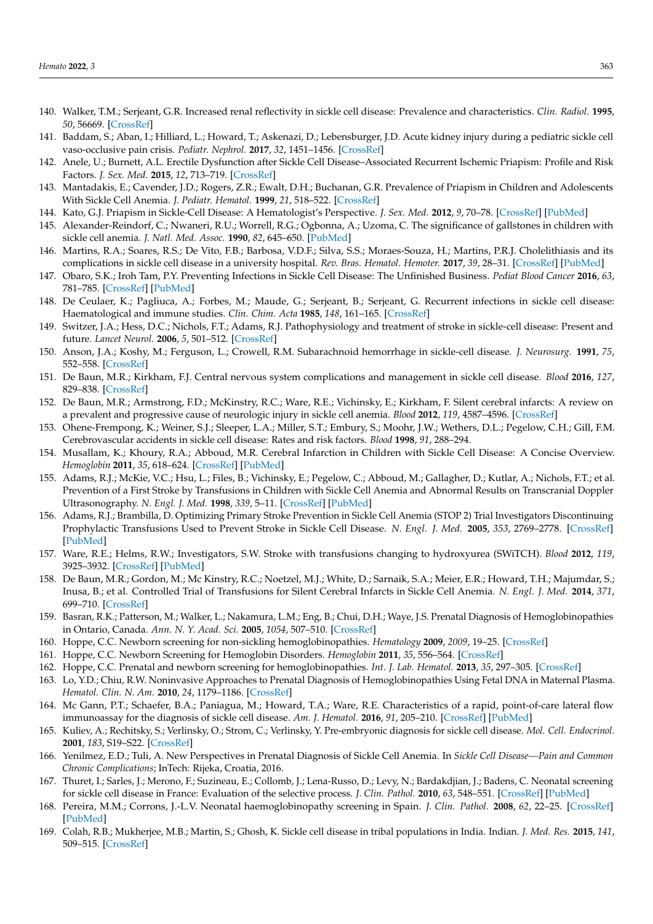- 140. Walker, T.M.; Serjeant, G.R. Increased renal reflectivity in sickle cell disease: Prevalence and characteristics. *Clin. Radiol.* **1995**, *50*, 56669. [\[CrossRef\]](http://doi.org/10.1016/S0009-9260(05)83194-0)
- <span id="page-22-0"></span>141. Baddam, S.; Aban, I.; Hilliard, L.; Howard, T.; Askenazi, D.; Lebensburger, J.D. Acute kidney injury during a pediatric sickle cell vaso-occlusive pain crisis. *Pediatr. Nephrol.* **2017**, *32*, 1451–1456. [\[CrossRef\]](http://doi.org/10.1007/s00467-017-3623-6)
- <span id="page-22-1"></span>142. Anele, U.; Burnett, A.L. Erectile Dysfunction after Sickle Cell Disease–Associated Recurrent Ischemic Priapism: Profile and Risk Factors. *J. Sex. Med.* **2015**, *12*, 713–719. [\[CrossRef\]](http://doi.org/10.1111/jsm.12816)
- 143. Mantadakis, E.; Cavender, J.D.; Rogers, Z.R.; Ewalt, D.H.; Buchanan, G.R. Prevalence of Priapism in Children and Adolescents With Sickle Cell Anemia. *J. Pediatr. Hematol.* **1999**, *21*, 518–522. [\[CrossRef\]](http://doi.org/10.1097/00043426-199911000-00013)
- <span id="page-22-2"></span>144. Kato, G.J. Priapism in Sickle-Cell Disease: A Hematologist's Perspective. *J. Sex. Med.* **2012**, *9*, 70–78. [\[CrossRef\]](http://doi.org/10.1111/j.1743-6109.2011.02287.x) [\[PubMed\]](http://www.ncbi.nlm.nih.gov/pubmed/21554552)
- <span id="page-22-3"></span>145. Alexander-Reindorf, C.; Nwaneri, R.U.; Worrell, R.G.; Ogbonna, A.; Uzoma, C. The significance of gallstones in children with sickle cell anemia. *J. Natl. Med. Assoc.* **1990**, *82*, 645–650. [\[PubMed\]](http://www.ncbi.nlm.nih.gov/pubmed/2213913)
- <span id="page-22-4"></span>146. Martins, R.A.; Soares, R.S.; De Vito, F.B.; Barbosa, V.D.F.; Silva, S.S.; Moraes-Souza, H.; Martins, P.R.J. Cholelithiasis and its complications in sickle cell disease in a university hospital. *Rev. Bras. Hematol. Hemoter.* **2017**, *39*, 28–31. [\[CrossRef\]](http://doi.org/10.1016/j.bjhh.2016.09.009) [\[PubMed\]](http://www.ncbi.nlm.nih.gov/pubmed/28270342)
- <span id="page-22-5"></span>147. Obaro, S.K.; Iroh Tam, P.Y. Preventing Infections in Sickle Cell Disease: The Unfinished Business. *Pediat Blood Cancer* **2016**, *63*, 781–785. [\[CrossRef\]](http://doi.org/10.1002/pbc.25911) [\[PubMed\]](http://www.ncbi.nlm.nih.gov/pubmed/26840500)
- <span id="page-22-6"></span>148. De Ceulaer, K.; Pagliuca, A.; Forbes, M.; Maude, G.; Serjeant, B.; Serjeant, G. Recurrent infections in sickle cell disease: Haematological and immune studies. *Clin. Chim. Acta* **1985**, *148*, 161–165. [\[CrossRef\]](http://doi.org/10.1016/0009-8981(85)90142-1)
- <span id="page-22-7"></span>149. Switzer, J.A.; Hess, D.C.; Nichols, F.T.; Adams, R.J. Pathophysiology and treatment of stroke in sickle-cell disease: Present and future. *Lancet Neurol.* **2006**, *5*, 501–512. [\[CrossRef\]](http://doi.org/10.1016/S1474-4422(06)70469-0)
- 150. Anson, J.A.; Koshy, M.; Ferguson, L.; Crowell, R.M. Subarachnoid hemorrhage in sickle-cell disease. *J. Neurosurg.* **1991**, *75*, 552–558. [\[CrossRef\]](http://doi.org/10.3171/jns.1991.75.4.0552)
- 151. De Baun, M.R.; Kirkham, F.J. Central nervous system complications and management in sickle cell disease. *Blood* **2016**, *127*, 829–838. [\[CrossRef\]](http://doi.org/10.1182/blood-2015-09-618579)
- <span id="page-22-12"></span>152. De Baun, M.R.; Armstrong, F.D.; McKinstry, R.C.; Ware, R.E.; Vichinsky, E.; Kirkham, F. Silent cerebral infarcts: A review on a prevalent and progressive cause of neurologic injury in sickle cell anemia. *Blood* **2012**, *119*, 4587–4596. [\[CrossRef\]](http://doi.org/10.1182/blood-2011-02-272682)
- <span id="page-22-8"></span>153. Ohene-Frempong, K.; Weiner, S.J.; Sleeper, L.A.; Miller, S.T.; Embury, S.; Moohr, J.W.; Wethers, D.L.; Pegelow, C.H.; Gill, F.M. Cerebrovascular accidents in sickle cell disease: Rates and risk factors. *Blood* **1998**, *91*, 288–294.
- <span id="page-22-9"></span>154. Musallam, K.; Khoury, R.A.; Abboud, M.R. Cerebral Infarction in Children with Sickle Cell Disease: A Concise Overview. *Hemoglobin* **2011**, *35*, 618–624. [\[CrossRef\]](http://doi.org/10.3109/03630269.2011.621148) [\[PubMed\]](http://www.ncbi.nlm.nih.gov/pubmed/21967673)
- <span id="page-22-10"></span>155. Adams, R.J.; McKie, V.C.; Hsu, L.; Files, B.; Vichinsky, E.; Pegelow, C.; Abboud, M.; Gallagher, D.; Kutlar, A.; Nichols, F.T.; et al. Prevention of a First Stroke by Transfusions in Children with Sickle Cell Anemia and Abnormal Results on Transcranial Doppler Ultrasonography. *N. Engl. J. Med.* **1998**, *339*, 5–11. [\[CrossRef\]](http://doi.org/10.1056/NEJM199807023390102) [\[PubMed\]](http://www.ncbi.nlm.nih.gov/pubmed/9647873)
- <span id="page-22-11"></span>156. Adams, R.J.; Brambilla, D. Optimizing Primary Stroke Prevention in Sickle Cell Anemia (STOP 2) Trial Investigators Discontinuing Prophylactic Transfusions Used to Prevent Stroke in Sickle Cell Disease. *N. Engl. J. Med.* **2005**, *353*, 2769–2778. [\[CrossRef\]](http://doi.org/10.1056/nejmoa050460) [\[PubMed\]](http://www.ncbi.nlm.nih.gov/pubmed/16382063)
- 157. Ware, R.E.; Helms, R.W.; Investigators, S.W. Stroke with transfusions changing to hydroxyurea (SWiTCH). *Blood* **2012**, *119*, 3925–3932. [\[CrossRef\]](http://doi.org/10.1182/blood-2011-11-392340) [\[PubMed\]](http://www.ncbi.nlm.nih.gov/pubmed/22318199)
- <span id="page-22-13"></span>158. De Baun, M.R.; Gordon, M.; Mc Kinstry, R.C.; Noetzel, M.J.; White, D.; Sarnaik, S.A.; Meier, E.R.; Howard, T.H.; Majumdar, S.; Inusa, B.; et al. Controlled Trial of Transfusions for Silent Cerebral Infarcts in Sickle Cell Anemia. *N. Engl. J. Med.* **2014**, *371*, 699–710. [\[CrossRef\]](http://doi.org/10.1056/NEJMoa1401731)
- <span id="page-22-14"></span>159. Basran, R.K.; Patterson, M.; Walker, L.; Nakamura, L.M.; Eng, B.; Chui, D.H.; Waye, J.S. Prenatal Diagnosis of Hemoglobinopathies in Ontario, Canada. *Ann. N. Y. Acad. Sci.* **2005**, *1054*, 507–510. [\[CrossRef\]](http://doi.org/10.1196/annals.1345.052)
- 160. Hoppe, C.C. Newborn screening for non-sickling hemoglobinopathies. *Hematology* **2009**, *2009*, 19–25. [\[CrossRef\]](http://doi.org/10.1182/asheducation-2009.1.19)
- 161. Hoppe, C.C. Newborn Screening for Hemoglobin Disorders. *Hemoglobin* **2011**, *35*, 556–564. [\[CrossRef\]](http://doi.org/10.3109/03630269.2011.607905)
- 162. Hoppe, C.C. Prenatal and newborn screening for hemoglobinopathies. *Int. J. Lab. Hematol.* **2013**, *35*, 297–305. [\[CrossRef\]](http://doi.org/10.1111/ijlh.12076)
- <span id="page-22-17"></span>163. Lo, Y.D.; Chiu, R.W. Noninvasive Approaches to Prenatal Diagnosis of Hemoglobinopathies Using Fetal DNA in Maternal Plasma. *Hematol. Clin. N. Am.* **2010**, *24*, 1179–1186. [\[CrossRef\]](http://doi.org/10.1016/j.hoc.2010.08.007)
- <span id="page-22-15"></span>164. Mc Gann, P.T.; Schaefer, B.A.; Paniagua, M.; Howard, T.A.; Ware, R.E. Characteristics of a rapid, point-of-care lateral flow immunoassay for the diagnosis of sickle cell disease. *Am. J. Hematol.* **2016**, *91*, 205–210. [\[CrossRef\]](http://doi.org/10.1002/ajh.24232) [\[PubMed\]](http://www.ncbi.nlm.nih.gov/pubmed/26537622)
- <span id="page-22-16"></span>165. Kuliev, A.; Rechitsky, S.; Verlinsky, O.; Strom, C.; Verlinsky, Y. Pre-embryonic diagnosis for sickle cell disease. *Mol. Cell. Endocrinol.* **2001**, *183*, S19–S22. [\[CrossRef\]](http://doi.org/10.1016/S0303-7207(01)00569-X)
- <span id="page-22-18"></span>166. Yenilmez, E.D.; Tuli, A. New Perspectives in Prenatal Diagnosis of Sickle Cell Anemia. In *Sickle Cell Disease—Pain and Common Chronic Complications*; InTech: Rijeka, Croatia, 2016.
- <span id="page-22-19"></span>167. Thuret, I.; Sarles, J.; Merono, F.; Suzineau, E.; Collomb, J.; Lena-Russo, D.; Levy, N.; Bardakdjian, J.; Badens, C. Neonatal screening for sickle cell disease in France: Evaluation of the selective process. *J. Clin. Pathol.* **2010**, *63*, 548–551. [\[CrossRef\]](http://doi.org/10.1136/jcp.2009.068874) [\[PubMed\]](http://www.ncbi.nlm.nih.gov/pubmed/20498028)
- <span id="page-22-20"></span>168. Pereira, M.M.; Corrons, J.-L.V. Neonatal haemoglobinopathy screening in Spain. *J. Clin. Pathol.* **2008**, *62*, 22–25. [\[CrossRef\]](http://doi.org/10.1136/jcp.2008.058834) [\[PubMed\]](http://www.ncbi.nlm.nih.gov/pubmed/19103853)
- <span id="page-22-21"></span>169. Colah, R.B.; Mukherjee, M.B.; Martin, S.; Ghosh, K. Sickle cell disease in tribal populations in India. Indian. *J. Med. Res.* **2015**, *141*, 509–515. [\[CrossRef\]](http://doi.org/10.4103/0971-5916.159492)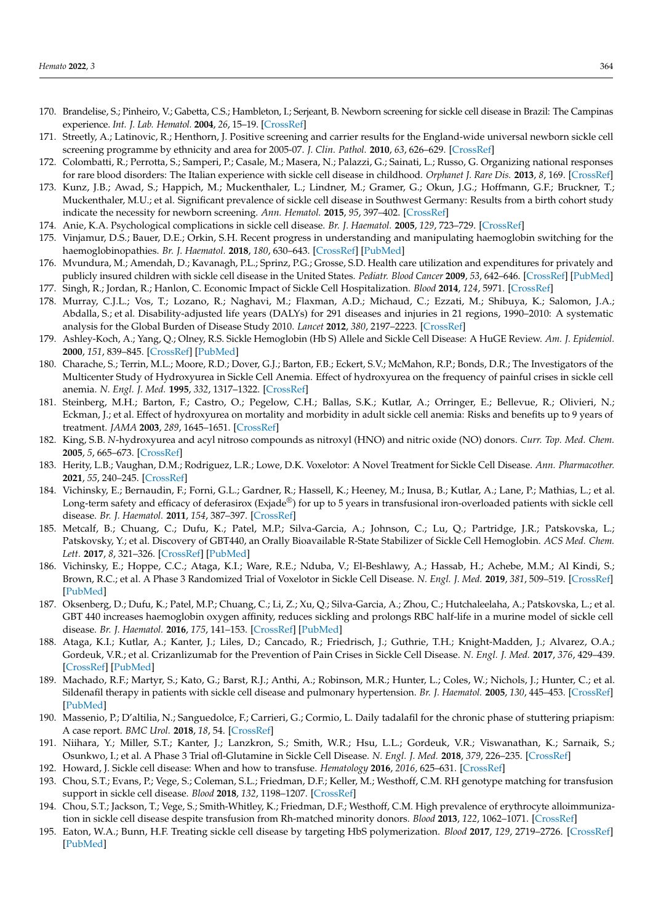- <span id="page-23-0"></span>170. Brandelise, S.; Pinheiro, V.; Gabetta, C.S.; Hambleton, I.; Serjeant, B. Newborn screening for sickle cell disease in Brazil: The Campinas experience. *Int. J. Lab. Hematol.* **2004**, *26*, 15–19. [\[CrossRef\]](http://doi.org/10.1111/j.0141-9854.2003.00576.x)
- <span id="page-23-1"></span>171. Streetly, A.; Latinovic, R.; Henthorn, J. Positive screening and carrier results for the England-wide universal newborn sickle cell screening programme by ethnicity and area for 2005-07. *J. Clin. Pathol.* **2010**, *63*, 626–629. [\[CrossRef\]](http://doi.org/10.1136/jcp.2010.077560)
- <span id="page-23-2"></span>172. Colombatti, R.; Perrotta, S.; Samperi, P.; Casale, M.; Masera, N.; Palazzi, G.; Sainati, L.; Russo, G. Organizing national responses for rare blood disorders: The Italian experience with sickle cell disease in childhood. *Orphanet J. Rare Dis.* **2013**, *8*, 169. [\[CrossRef\]](http://doi.org/10.1186/1750-1172-8-169)
- <span id="page-23-3"></span>173. Kunz, J.B.; Awad, S.; Happich, M.; Muckenthaler, L.; Lindner, M.; Gramer, G.; Okun, J.G.; Hoffmann, G.F.; Bruckner, T.; Muckenthaler, M.U.; et al. Significant prevalence of sickle cell disease in Southwest Germany: Results from a birth cohort study indicate the necessity for newborn screening. *Ann. Hematol.* **2015**, *95*, 397–402. [\[CrossRef\]](http://doi.org/10.1007/s00277-015-2573-y)
- <span id="page-23-4"></span>174. Anie, K.A. Psychological complications in sickle cell disease. *Br. J. Haematol.* **2005**, *129*, 723–729. [\[CrossRef\]](http://doi.org/10.1111/j.1365-2141.2005.05500.x)
- <span id="page-23-5"></span>175. Vinjamur, D.S.; Bauer, D.E.; Orkin, S.H. Recent progress in understanding and manipulating haemoglobin switching for the haemoglobinopathies. *Br. J. Haematol.* **2018**, *180*, 630–643. [\[CrossRef\]](http://doi.org/10.1111/bjh.15038) [\[PubMed\]](http://www.ncbi.nlm.nih.gov/pubmed/29193029)
- <span id="page-23-6"></span>176. Mvundura, M.; Amendah, D.; Kavanagh, P.L.; Sprinz, P.G.; Grosse, S.D. Health care utilization and expenditures for privately and publicly insured children with sickle cell disease in the United States. *Pediatr. Blood Cancer* **2009**, *53*, 642–646. [\[CrossRef\]](http://doi.org/10.1002/pbc.22069) [\[PubMed\]](http://www.ncbi.nlm.nih.gov/pubmed/19492318) 177. Singh, R.; Jordan, R.; Hanlon, C. Economic Impact of Sickle Cell Hospitalization. *Blood* **2014**, *124*, 5971. [\[CrossRef\]](http://doi.org/10.1182/blood.V124.21.5971.5971)
- <span id="page-23-7"></span>178. Murray, C.J.L.; Vos, T.; Lozano, R.; Naghavi, M.; Flaxman, A.D.; Michaud, C.; Ezzati, M.; Shibuya, K.; Salomon, J.A.; Abdalla, S.; et al. Disability-adjusted life years (DALYs) for 291 diseases and injuries in 21 regions, 1990–2010: A systematic
- <span id="page-23-8"></span>analysis for the Global Burden of Disease Study 2010. *Lancet* **2012**, *380*, 2197–2223. [\[CrossRef\]](http://doi.org/10.1016/S0140-6736(12)61689-4) 179. Ashley-Koch, A.; Yang, Q.; Olney, R.S. Sickle Hemoglobin (Hb S) Allele and Sickle Cell Disease: A HuGE Review. *Am. J. Epidemiol.* **2000**, *151*, 839–845. [\[CrossRef\]](http://doi.org/10.1093/oxfordjournals.aje.a010288) [\[PubMed\]](http://www.ncbi.nlm.nih.gov/pubmed/10791557)
- 180. Charache, S.; Terrin, M.L.; Moore, R.D.; Dover, G.J.; Barton, F.B.; Eckert, S.V.; McMahon, R.P.; Bonds, D.R.; The Investigators of the Multicenter Study of Hydroxyurea in Sickle Cell Anemia. Effect of hydroxyurea on the frequency of painful crises in sickle cell anemia. *N. Engl. J. Med.* **1995**, *332*, 1317–1322. [\[CrossRef\]](http://doi.org/10.1056/NEJM199505183322001)
- 181. Steinberg, M.H.; Barton, F.; Castro, O.; Pegelow, C.H.; Ballas, S.K.; Kutlar, A.; Orringer, E.; Bellevue, R.; Olivieri, N.; Eckman, J.; et al. Effect of hydroxyurea on mortality and morbidity in adult sickle cell anemia: Risks and benefits up to 9 years of treatment. *JAMA* **2003**, *289*, 1645–1651. [\[CrossRef\]](http://doi.org/10.1001/jama.289.13.1645)
- <span id="page-23-10"></span>182. King, S.B. *N*-hydroxyurea and acyl nitroso compounds as nitroxyl (HNO) and nitric oxide (NO) donors. *Curr. Top. Med. Chem.* **2005**, *5*, 665–673. [\[CrossRef\]](http://doi.org/10.2174/1568026054679362)
- 183. Herity, L.B.; Vaughan, D.M.; Rodriguez, L.R.; Lowe, D.K. Voxelotor: A Novel Treatment for Sickle Cell Disease. *Ann. Pharmacother.* **2021**, *55*, 240–245. [\[CrossRef\]](http://doi.org/10.1177/1060028020943059)
- 184. Vichinsky, E.; Bernaudin, F.; Forni, G.L.; Gardner, R.; Hassell, K.; Heeney, M.; Inusa, B.; Kutlar, A.; Lane, P.; Mathias, L.; et al. Long-term safety and efficacy of deferasirox (Exjade®) for up to 5 years in transfusional iron-overloaded patients with sickle cell disease. *Br. J. Haematol.* **2011**, *154*, 387–397. [\[CrossRef\]](http://doi.org/10.1111/j.1365-2141.2011.08720.x)
- <span id="page-23-11"></span>185. Metcalf, B.; Chuang, C.; Dufu, K.; Patel, M.P.; Silva-Garcia, A.; Johnson, C.; Lu, Q.; Partridge, J.R.; Patskovska, L.; Patskovsky, Y.; et al. Discovery of GBT440, an Orally Bioavailable R-State Stabilizer of Sickle Cell Hemoglobin. *ACS Med. Chem. Lett.* **2017**, *8*, 321–326. [\[CrossRef\]](http://doi.org/10.1021/acsmedchemlett.6b00491) [\[PubMed\]](http://www.ncbi.nlm.nih.gov/pubmed/28337324)
- <span id="page-23-9"></span>186. Vichinsky, E.; Hoppe, C.C.; Ataga, K.I.; Ware, R.E.; Nduba, V.; El-Beshlawy, A.; Hassab, H.; Achebe, M.M.; Al Kindi, S.; Brown, R.C.; et al. A Phase 3 Randomized Trial of Voxelotor in Sickle Cell Disease. *N. Engl. J. Med.* **2019**, *381*, 509–519. [\[CrossRef\]](http://doi.org/10.1056/NEJMoa1903212) [\[PubMed\]](http://www.ncbi.nlm.nih.gov/pubmed/31199090)
- <span id="page-23-12"></span>187. Oksenberg, D.; Dufu, K.; Patel, M.P.; Chuang, C.; Li, Z.; Xu, Q.; Silva-Garcia, A.; Zhou, C.; Hutchaleelaha, A.; Patskovska, L.; et al. GBT 440 increases haemoglobin oxygen affinity, reduces sickling and prolongs RBC half-life in a murine model of sickle cell disease. *Br. J. Haematol.* **2016**, *175*, 141–153. [\[CrossRef\]](http://doi.org/10.1111/bjh.14214) [\[PubMed\]](http://www.ncbi.nlm.nih.gov/pubmed/27378309)
- <span id="page-23-13"></span>188. Ataga, K.I.; Kutlar, A.; Kanter, J.; Liles, D.; Cancado, R.; Friedrisch, J.; Guthrie, T.H.; Knight-Madden, J.; Alvarez, O.A.; Gordeuk, V.R.; et al. Crizanlizumab for the Prevention of Pain Crises in Sickle Cell Disease. *N. Engl. J. Med.* **2017**, *376*, 429–439. [\[CrossRef\]](http://doi.org/10.1056/NEJMoa1611770) [\[PubMed\]](http://www.ncbi.nlm.nih.gov/pubmed/27959701)
- <span id="page-23-14"></span>189. Machado, R.F.; Martyr, S.; Kato, G.; Barst, R.J.; Anthi, A.; Robinson, M.R.; Hunter, L.; Coles, W.; Nichols, J.; Hunter, C.; et al. Sildenafil therapy in patients with sickle cell disease and pulmonary hypertension. *Br. J. Haematol.* **2005**, *130*, 445–453. [\[CrossRef\]](http://doi.org/10.1111/j.1365-2141.2005.05625.x) [\[PubMed\]](http://www.ncbi.nlm.nih.gov/pubmed/16042696)
- <span id="page-23-15"></span>190. Massenio, P.; D'altilia, N.; Sanguedolce, F.; Carrieri, G.; Cormio, L. Daily tadalafil for the chronic phase of stuttering priapism: A case report. *BMC Urol.* **2018**, *18*, 54. [\[CrossRef\]](http://doi.org/10.1186/s12894-018-0368-x)
- 191. Niihara, Y.; Miller, S.T.; Kanter, J.; Lanzkron, S.; Smith, W.R.; Hsu, L.L.; Gordeuk, V.R.; Viswanathan, K.; Sarnaik, S.; Osunkwo, I.; et al. A Phase 3 Trial ofl-Glutamine in Sickle Cell Disease. *N. Engl. J. Med.* **2018**, *379*, 226–235. [\[CrossRef\]](http://doi.org/10.1056/NEJMoa1715971)
- <span id="page-23-17"></span><span id="page-23-16"></span>192. Howard, J. Sickle cell disease: When and how to transfuse. *Hematology* **2016**, *2016*, 625–631. [\[CrossRef\]](http://doi.org/10.1182/asheducation-2016.1.625)
- 193. Chou, S.T.; Evans, P.; Vege, S.; Coleman, S.L.; Friedman, D.F.; Keller, M.; Westhoff, C.M. RH genotype matching for transfusion support in sickle cell disease. *Blood* **2018**, *132*, 1198–1207. [\[CrossRef\]](http://doi.org/10.1182/blood-2018-05-851360)
- <span id="page-23-18"></span>194. Chou, S.T.; Jackson, T.; Vege, S.; Smith-Whitley, K.; Friedman, D.F.; Westhoff, C.M. High prevalence of erythrocyte alloimmunization in sickle cell disease despite transfusion from Rh-matched minority donors. *Blood* **2013**, *122*, 1062–1071. [\[CrossRef\]](http://doi.org/10.1182/blood-2013-03-490623)
- <span id="page-23-19"></span>195. Eaton, W.A.; Bunn, H.F. Treating sickle cell disease by targeting HbS polymerization. *Blood* **2017**, *129*, 2719–2726. [\[CrossRef\]](http://doi.org/10.1182/blood-2017-02-765891) [\[PubMed\]](http://www.ncbi.nlm.nih.gov/pubmed/28385699)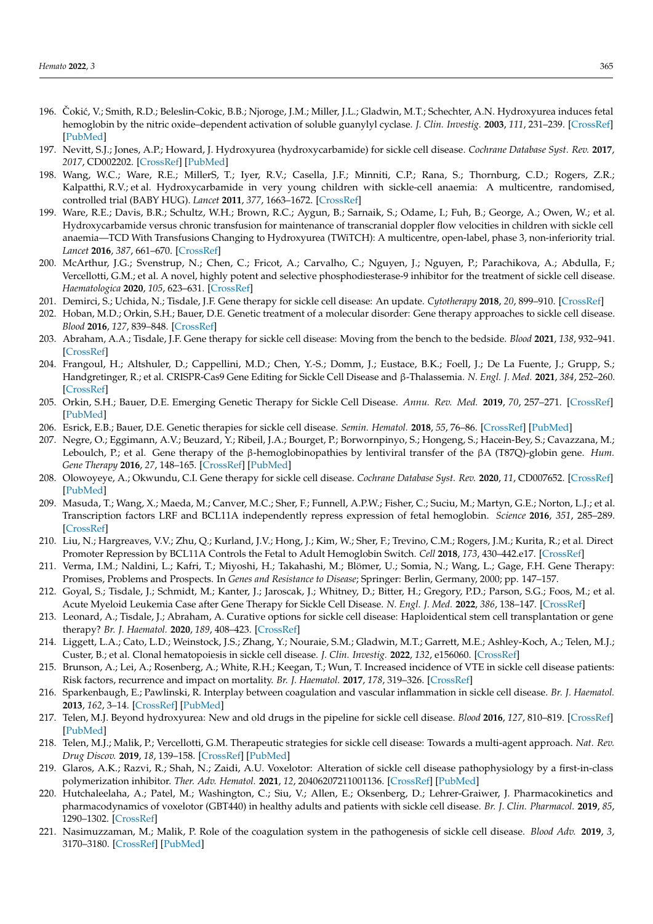- <span id="page-24-0"></span>196. Cokić, V.; Smith, R.D.; Beleslin-Cokic, B.B.; Njoroge, J.M.; Miller, J.L.; Gladwin, M.T.; Schechter, A.N. Hydroxyurea induces fetal hemoglobin by the nitric oxide–dependent activation of soluble guanylyl cyclase. *J. Clin. Investig.* **2003**, *111*, 231–239. [\[CrossRef\]](http://doi.org/10.1172/JCI200316672) [\[PubMed\]](http://www.ncbi.nlm.nih.gov/pubmed/12531879)
- <span id="page-24-1"></span>197. Nevitt, S.J.; Jones, A.P.; Howard, J. Hydroxyurea (hydroxycarbamide) for sickle cell disease. *Cochrane Database Syst. Rev.* **2017**, *2017*, CD002202. [\[CrossRef\]](http://doi.org/10.1002/14651858.CD002202.pub2) [\[PubMed\]](http://www.ncbi.nlm.nih.gov/pubmed/28426137)
- <span id="page-24-2"></span>198. Wang, W.C.; Ware, R.E.; MillerS, T.; Iyer, R.V.; Casella, J.F.; Minniti, C.P.; Rana, S.; Thornburg, C.D.; Rogers, Z.R.; Kalpatthi, R.V.; et al. Hydroxycarbamide in very young children with sickle-cell anaemia: A multicentre, randomised, controlled trial (BABY HUG). *Lancet* **2011**, *377*, 1663–1672. [\[CrossRef\]](http://doi.org/10.1016/S0140-6736(11)60355-3)
- <span id="page-24-3"></span>199. Ware, R.E.; Davis, B.R.; Schultz, W.H.; Brown, R.C.; Aygun, B.; Sarnaik, S.; Odame, I.; Fuh, B.; George, A.; Owen, W.; et al. Hydroxycarbamide versus chronic transfusion for maintenance of transcranial doppler flow velocities in children with sickle cell anaemia—TCD With Transfusions Changing to Hydroxyurea (TWiTCH): A multicentre, open-label, phase 3, non-inferiority trial. *Lancet* **2016**, *387*, 661–670. [\[CrossRef\]](http://doi.org/10.1016/S0140-6736(15)01041-7)
- <span id="page-24-4"></span>200. McArthur, J.G.; Svenstrup, N.; Chen, C.; Fricot, A.; Carvalho, C.; Nguyen, J.; Nguyen, P.; Parachikova, A.; Abdulla, F.; Vercellotti, G.M.; et al. A novel, highly potent and selective phosphodiesterase-9 inhibitor for the treatment of sickle cell disease. *Haematologica* **2020**, *105*, 623–631. [\[CrossRef\]](http://doi.org/10.3324/haematol.2018.213462)
- <span id="page-24-5"></span>201. Demirci, S.; Uchida, N.; Tisdale, J.F. Gene therapy for sickle cell disease: An update. *Cytotherapy* **2018**, *20*, 899–910. [\[CrossRef\]](http://doi.org/10.1016/j.jcyt.2018.04.003)
- 202. Hoban, M.D.; Orkin, S.H.; Bauer, D.E. Genetic treatment of a molecular disorder: Gene therapy approaches to sickle cell disease. *Blood* **2016**, *127*, 839–848. [\[CrossRef\]](http://doi.org/10.1182/blood-2015-09-618587)
- <span id="page-24-8"></span>203. Abraham, A.A.; Tisdale, J.F. Gene therapy for sickle cell disease: Moving from the bench to the bedside. *Blood* **2021**, *138*, 932–941. [\[CrossRef\]](http://doi.org/10.1182/blood.2019003776)
- 204. Frangoul, H.; Altshuler, D.; Cappellini, M.D.; Chen, Y.-S.; Domm, J.; Eustace, B.K.; Foell, J.; De La Fuente, J.; Grupp, S.; Handgretinger, R.; et al. CRISPR-Cas9 Gene Editing for Sickle Cell Disease and β-Thalassemia. *N. Engl. J. Med.* **2021**, *384*, 252–260. [\[CrossRef\]](http://doi.org/10.1056/NEJMoa2031054)
- 205. Orkin, S.H.; Bauer, D.E. Emerging Genetic Therapy for Sickle Cell Disease. *Annu. Rev. Med.* **2019**, *70*, 257–271. [\[CrossRef\]](http://doi.org/10.1146/annurev-med-041817-125507) [\[PubMed\]](http://www.ncbi.nlm.nih.gov/pubmed/30355263)
- 206. Esrick, E.B.; Bauer, D.E. Genetic therapies for sickle cell disease. *Semin. Hematol.* **2018**, *55*, 76–86. [\[CrossRef\]](http://doi.org/10.1053/j.seminhematol.2018.04.014) [\[PubMed\]](http://www.ncbi.nlm.nih.gov/pubmed/29958563)
- 207. Negre, O.; Eggimann, A.V.; Beuzard, Y.; Ribeil, J.A.; Bourget, P.; Borwornpinyo, S.; Hongeng, S.; Hacein-Bey, S.; Cavazzana, M.; Leboulch, P.; et al. Gene therapy of the β-hemoglobinopathies by lentiviral transfer of the βA (T87Q)-globin gene. *Hum. Gene Therapy* **2016**, *27*, 148–165. [\[CrossRef\]](http://doi.org/10.1089/hum.2016.007) [\[PubMed\]](http://www.ncbi.nlm.nih.gov/pubmed/26886832)
- <span id="page-24-6"></span>208. Olowoyeye, A.; Okwundu, C.I. Gene therapy for sickle cell disease. *Cochrane Database Syst. Rev.* **2020**, *11*, CD007652. [\[CrossRef\]](http://doi.org/10.1002/14651858.CD007652.pub7) [\[PubMed\]](http://www.ncbi.nlm.nih.gov/pubmed/33251574)
- <span id="page-24-7"></span>209. Masuda, T.; Wang, X.; Maeda, M.; Canver, M.C.; Sher, F.; Funnell, A.P.W.; Fisher, C.; Suciu, M.; Martyn, G.E.; Norton, L.J.; et al. Transcription factors LRF and BCL11A independently repress expression of fetal hemoglobin. *Science* **2016**, *351*, 285–289. [\[CrossRef\]](http://doi.org/10.1126/science.aad3312)
- <span id="page-24-9"></span>210. Liu, N.; Hargreaves, V.V.; Zhu, Q.; Kurland, J.V.; Hong, J.; Kim, W.; Sher, F.; Trevino, C.M.; Rogers, J.M.; Kurita, R.; et al. Direct Promoter Repression by BCL11A Controls the Fetal to Adult Hemoglobin Switch. *Cell* **2018**, *173*, 430–442.e17. [\[CrossRef\]](http://doi.org/10.1016/j.cell.2018.03.016)
- <span id="page-24-10"></span>211. Verma, I.M.; Naldini, L.; Kafri, T.; Miyoshi, H.; Takahashi, M.; Blömer, U.; Somia, N.; Wang, L.; Gage, F.H. Gene Therapy: Promises, Problems and Prospects. In *Genes and Resistance to Disease*; Springer: Berlin, Germany, 2000; pp. 147–157.
- <span id="page-24-12"></span>212. Goyal, S.; Tisdale, J.; Schmidt, M.; Kanter, J.; Jaroscak, J.; Whitney, D.; Bitter, H.; Gregory, P.D.; Parson, S.G.; Foos, M.; et al. Acute Myeloid Leukemia Case after Gene Therapy for Sickle Cell Disease. *N. Engl. J. Med.* **2022**, *386*, 138–147. [\[CrossRef\]](http://doi.org/10.1056/NEJMoa2109167)
- <span id="page-24-13"></span>213. Leonard, A.; Tisdale, J.; Abraham, A. Curative options for sickle cell disease: Haploidentical stem cell transplantation or gene therapy? *Br. J. Haematol.* **2020**, *189*, 408–423. [\[CrossRef\]](http://doi.org/10.1111/bjh.16437)
- <span id="page-24-11"></span>214. Liggett, L.A.; Cato, L.D.; Weinstock, J.S.; Zhang, Y.; Nouraie, S.M.; Gladwin, M.T.; Garrett, M.E.; Ashley-Koch, A.; Telen, M.J.; Custer, B.; et al. Clonal hematopoiesis in sickle cell disease. *J. Clin. Investig.* **2022**, *132*, e156060. [\[CrossRef\]](http://doi.org/10.1172/JCI156060)
- <span id="page-24-14"></span>215. Brunson, A.; Lei, A.; Rosenberg, A.; White, R.H.; Keegan, T.; Wun, T. Increased incidence of VTE in sickle cell disease patients: Risk factors, recurrence and impact on mortality. *Br. J. Haematol.* **2017**, *178*, 319–326. [\[CrossRef\]](http://doi.org/10.1111/bjh.14655)
- 216. Sparkenbaugh, E.; Pawlinski, R. Interplay between coagulation and vascular inflammation in sickle cell disease. *Br. J. Haematol.* **2013**, *162*, 3–14. [\[CrossRef\]](http://doi.org/10.1111/bjh.12336) [\[PubMed\]](http://www.ncbi.nlm.nih.gov/pubmed/23593937)
- 217. Telen, M.J. Beyond hydroxyurea: New and old drugs in the pipeline for sickle cell disease. *Blood* **2016**, *127*, 810–819. [\[CrossRef\]](http://doi.org/10.1182/blood-2015-09-618553) [\[PubMed\]](http://www.ncbi.nlm.nih.gov/pubmed/26758919)
- 218. Telen, M.J.; Malik, P.; Vercellotti, G.M. Therapeutic strategies for sickle cell disease: Towards a multi-agent approach. *Nat. Rev. Drug Discov.* **2019**, *18*, 139–158. [\[CrossRef\]](http://doi.org/10.1038/s41573-018-0003-2) [\[PubMed\]](http://www.ncbi.nlm.nih.gov/pubmed/30514970)
- <span id="page-24-15"></span>219. Glaros, A.K.; Razvi, R.; Shah, N.; Zaidi, A.U. Voxelotor: Alteration of sickle cell disease pathophysiology by a first-in-class polymerization inhibitor. *Ther. Adv. Hematol.* **2021**, *12*, 20406207211001136. [\[CrossRef\]](http://doi.org/10.1177/20406207211001136) [\[PubMed\]](http://www.ncbi.nlm.nih.gov/pubmed/33796238)
- <span id="page-24-16"></span>220. Hutchaleelaha, A.; Patel, M.; Washington, C.; Siu, V.; Allen, E.; Oksenberg, D.; Lehrer-Graiwer, J. Pharmacokinetics and pharmacodynamics of voxelotor (GBT440) in healthy adults and patients with sickle cell disease. *Br. J. Clin. Pharmacol.* **2019**, *85*, 1290–1302. [\[CrossRef\]](http://doi.org/10.1111/bcp.13896)
- 221. Nasimuzzaman, M.; Malik, P. Role of the coagulation system in the pathogenesis of sickle cell disease. *Blood Adv.* **2019**, *3*, 3170–3180. [\[CrossRef\]](http://doi.org/10.1182/bloodadvances.2019000193) [\[PubMed\]](http://www.ncbi.nlm.nih.gov/pubmed/31648337)